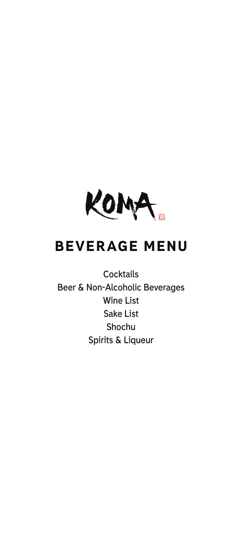

# BEVERAGE MENU

**Cocktails Beer & Non-Alcoholic Beverages Wine List Sake List Shochu Spirits & Liqueur**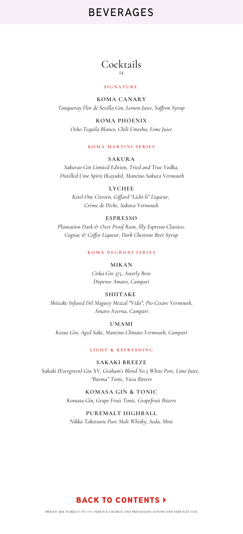### Cocktails *24*

#### **SIGNATURE**

**KOMA CANARY** *Tanqueray Flor de Sevilla Gin, Lemon Juice, Saffron Syrup*

**KOMA PHOENIX** *Ocho Tequila Blanco, Chili Umeshu, Lime Juice*

### **KOMA MARTINI SERIES**

**SAKURA** *Sakurao Gin Limited Edition, Tried and True Vodka, Distilled Ume Spirit (Kayuki), Mancino Sakura Vermouth*

> **LYCHEE** *Ketel One Citroen, Giffard "Lichi-li" Liqueur, Crème de Pêche, Sakura Vermouth*

### **ESPRESSO**

*Plantation Dark & Over Proof Rum, Illy Espresso Classico, Cognac & Coffee Liqueur, Dark Chestnut Beer Syrup*

**KOMA NEGRONI SERIES**

**MIKAN** *Cirka Gin 375, Asterly Bros*

*Dispense Amaro, Campari*

### **SHIITAKE**

*Shiitake Infused Del Maguey Mezcal "Vida", Pio Cesare Vermouth, Amaro Averna, Campari*

**UMAMI**

*Kozue Gin, Aged Sake, Mancino Chinato Vermouth, Campari*

**LIGHT & REFRESHING**

**SAKAKI BREEZE** *Sakaki (Evergreen) Gin XV, Graham's Blend No.5 White Port, Lime Juice, "Burma" Tonic, Yuzu Bitters*

> **KOMASA GIN & TONIC** *Komasa Gin, Grape Fruit Tonic, Grapefruit Bitters*

**PUREMALT HIGHBALL** *Nikka Taketsuru Pure Malt Whisky, Soda, Mint*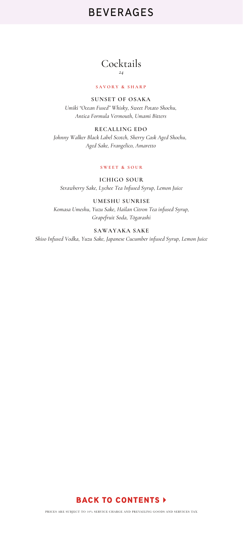### Cocktails *24*

### **SAVORY & SHARP**

**SUNSET OF OSAKA** *Umiki "Ocean Fused" Whisky, Sweet Potato Shochu, Antica Formula Vermouth, Umami Bitters*

**RECALLING EDO** *Johnny Walker Black Label Scotch, Sherry Cask Aged Shochu, Aged Sake, Frangelico, Amaretto*

#### **SWEET & SOUR**

**ICHIGO SOUR** *Strawberry Sake, Lychee Tea Infused Syrup, Lemon Juice*

**UMESHU SUNRISE** *Komasa Umeshu, Yuzu Sake, Hailan Citron Tea infused Syrup, Grapefruit Soda, Tōgarashi*

**SAWAYAKA SAKE** *Shiso Infused Vodka, Yuzu Sake, Japanese Cucumber infused Syrup, Lemon Juice*

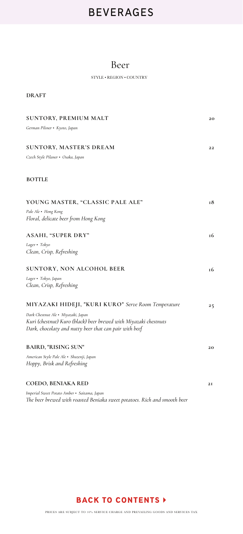## Beer

STYLE • REGION • COUNTRY

| <b>DRAFT</b>                                                                                                                                                      |    |
|-------------------------------------------------------------------------------------------------------------------------------------------------------------------|----|
| <b>SUNTORY, PREMIUM MALT</b>                                                                                                                                      | 20 |
| German Pilsner • Kyoto, Japan                                                                                                                                     |    |
| <b>SUNTORY, MASTER'S DREAM</b>                                                                                                                                    | 22 |
| Czech Style Pilaner • Osaka, Japan                                                                                                                                |    |
| <b>BOTTLE</b>                                                                                                                                                     |    |
| YOUNG MASTER, "CLASSIC PALE ALE"                                                                                                                                  | 18 |
| Pale Ale • Hong Kong<br>Floral, delicate beer from Hong Kong                                                                                                      |    |
| ASAHI, "SUPER DRY"                                                                                                                                                | 16 |
| Lager · Tokyo<br>Clean, Crisp, Refreshing                                                                                                                         |    |
| <b>SUNTORY, NON ALCOHOL BEER</b>                                                                                                                                  | 16 |
| Lager · Tokyo, Japan<br>Clean, Crisp, Refreshing                                                                                                                  |    |
| MIYAZAKI HIDEJI, "KURI KURO" Serve Room Temperature                                                                                                               | 25 |
| Dark Chestnut Ale · Miyazaki, Japan<br>Kuri (chestnut) Kuro (black) beer brewed with Miyazaki chestnuts<br>Dark, chocolaty and nutty beer that can pair with beef |    |
| <b>BAIRD, "RISING SUN"</b>                                                                                                                                        | 20 |
| American Style Pale Ale · Shuzenji, Japan<br>Hoppy, Brisk and Refreshing                                                                                          |    |
| COEDO, BENIAKA RED                                                                                                                                                | 21 |
| Imperial Sweet Potato Amber · Saitama, Japan<br>The beer brewed with roasted Beniaka sweet potatoes. Rich and smooth beer                                         |    |

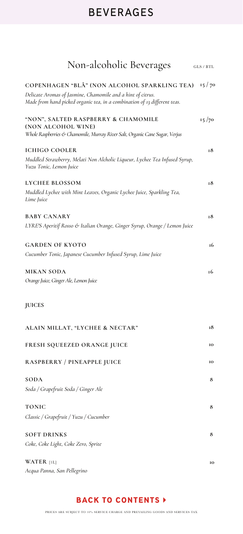| Non-alcoholic Beverages                                                                                                                                                                  | $GLS$ / $BTL$ |
|------------------------------------------------------------------------------------------------------------------------------------------------------------------------------------------|---------------|
| COPENHAGEN "BLÅ" (NON ALCOHOL SPARKLING TEA)<br>Delicate Aromas of Jasmine, Chamomile and a hint of citrus.<br>Made from hand picked organic tea, in a combination of 13 different teas. | 15/70         |
| "NON", SALTED RASPBERRY & CHAMOMILE<br>(NON ALCOHOL WINE)                                                                                                                                | 15/70         |
| Whole Raspberries & Chamomile, Murray River Salt, Organic Cane Sugar, Verjus                                                                                                             |               |
| <b>ICHIGO COOLER</b><br>Muddled Strawberry, Melati Non Alcholic Liqueur, Lychee Tea Infused Syrup,<br>Yuzu Tonic, Lemon Juice                                                            | 18            |
| LYCHEE BLOSSOM<br>Muddled Lychee with Mint Leaves, Organic Lychee Juice, Sparkling Tea,<br>Lime Juice                                                                                    | 18            |
| <b>BABY CANARY</b><br>LYRE'S Aperitif Rosso & Italian Orange, Ginger Syrup, Orange / Lemon Juice                                                                                         | 18            |
| <b>GARDEN OF KYOTO</b><br>Cucumber Tonic, Japanese Cucumber Infused Syrup, Lime Juice                                                                                                    | 16            |
| <b>MIKAN SODA</b><br>Orange Juice, Ginger Ale, Lemon Juice                                                                                                                               | 16            |
| <b>JUICES</b>                                                                                                                                                                            |               |
| ALAIN MILLAT, "LYCHEE & NECTAR"                                                                                                                                                          | 18            |
| FRESH SQUEEZED ORANGE JUICE                                                                                                                                                              | 10            |
| <b>RASPBERRY / PINEAPPLE JUICE</b>                                                                                                                                                       | 10            |
| <b>SODA</b><br>Soda / Grapefruit Soda / Ginger Ale                                                                                                                                       | 8             |
| <b>TONIC</b><br>Classic / Grapefruit / Yuzu / Cucumber                                                                                                                                   | 8             |
| <b>SOFT DRINKS</b><br>Coke, Coke Light, Coke Zero, Sprite                                                                                                                                | 8             |
| WATER [1L]<br>Acqua Panna, San Pellegrino                                                                                                                                                | 10            |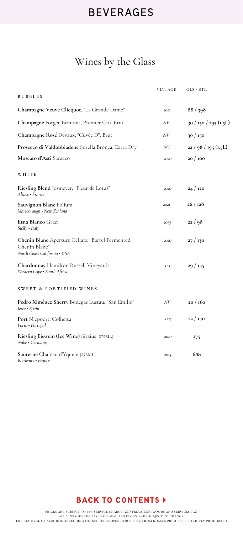# Wines by the Glass

|                                                                                                   | <b>VINTAGE</b> | GLS / BTL             |
|---------------------------------------------------------------------------------------------------|----------------|-----------------------|
| <b>BUBBLES</b>                                                                                    |                |                       |
| Champagne Veuve Clicquot, "La Grande Dame"                                                        | 2012           | 88/398                |
| Champagne Forget-Brimont, Premier Cru, Brut                                                       | NV             | 30 / 150 / 295 (1.5L) |
| Champagne Rosé Devaux, "Cuvée D", Brut                                                            | NV             | 30/150                |
| Prosecco di Valdobbiadene Sorella Bronca, Extra Dry                                               | NV             | $22/98/195$ (1.5L)    |
| Moscato d'Asti Saracco                                                                            | 2020           | 20/100                |
| WHITE                                                                                             |                |                       |
| Riesling Blend Josmeyer, "Fleur de Lotus"<br>Alsace • France                                      | 2020           | 24/120                |
| Sauvignon Blanc Folium<br>Marlborough • New Zealand                                               | 2021           | 26/128                |
| <b>Etna Bianco</b> Graci<br>Sicily . Italy                                                        | 2019           | 22/98                 |
| Chenin Blanc Aperture Cellars, "Barrel Fermented<br>Chenin Blanc"<br>North Coast California . USA | 2020           | 27 / 130              |
| Chardonnay Hamilton Russell Vineyards<br>Western Cape · South Africa                              | 2020           | 29/145                |
| <b>SWEET &amp; FORTIFIED WINES</b>                                                                |                |                       |
| Pedro Ximénez Sherry Bodegas Lustau, "San Emilio"<br>Jerez • Spain                                | NV             | 20/160                |
| Port Niepoort, Colheita<br>Porto · Portugal                                                       | 2007           | 22/140                |
| Riesling Eiswein (Ice Wine) Sitzius [375ML]<br>Nahe • Germany                                     | 2010           | 275                   |
| Sauterne Chateau d'Yquem [375ML]                                                                  | 2015           | 688                   |

*Bordeaux • France* 

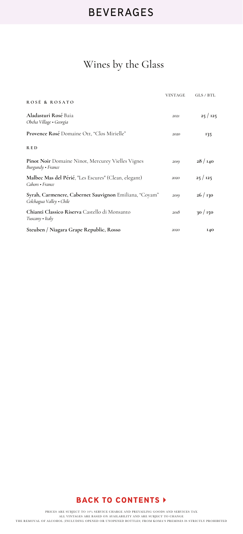# Wines by the Glass

|                                                                                    | <b>VINTAGE</b> | GLS / BTL  |
|------------------------------------------------------------------------------------|----------------|------------|
| ROSÉ & ROSATO                                                                      |                |            |
| Aladasturi Rosé Baia<br>Obcha Village · Georgia                                    | 2021           | 25/125     |
| Provence Rosé Domaine Ott, "Clos Mirielle"                                         | 2020           | 135        |
| <b>RED</b>                                                                         |                |            |
| <b>Pinot Noir</b> Domaine Ninot, Mercurey Vielles Vignes<br>Burgundy • France      | 2019           | 28/140     |
| Malbec Mas del Périé, "Les Escures" (Clean, elegant)<br>Cahors • France            | 2020           | 25/125     |
| Syrah, Carmenere, Cabernet Sauvignon Emiliana, "Coyam"<br>Colchagua Valley • Chile | 2019           | 26/130     |
| Chianti Classico Riserva Castello di Monsanto<br>$Tuscany \cdot Italy$             | 2018           | 30/150     |
| Steuben / Niagara Grape Republic, Rosso                                            | 2020           | <b>140</b> |

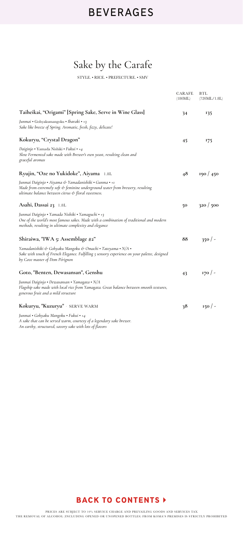# Sake by the Carafe

STYLE. • RICE. • PREFECTURE. • SMV

|                                                                                                                                                                                                        | CARAFE<br>(180ML) | BTL<br>(720ML/1.8L) |
|--------------------------------------------------------------------------------------------------------------------------------------------------------------------------------------------------------|-------------------|---------------------|
| Taiheikai, "Origami" [Spring Sake, Serve in Wine Glass]                                                                                                                                                | 34                | 135                 |
| Junmai • Gohyakumangoku • Ibaraki • +3<br>Sake like breeze of Spring. Aromatic, fresh, fizzy, delicate!                                                                                                |                   |                     |
| Kokuryu, "Crystal Dragon"                                                                                                                                                                              | 45                | 175                 |
| Daiginjo • Yamada Nishiki • Fukui • +4<br>Slow Fermented sake made with Brewer's own yeast, resulting clean and<br>graceful aromas                                                                     |                   |                     |
| Ryujin, "Oze no Yukidoke", Aiyama 1.8L                                                                                                                                                                 | 48                | 190 / 450           |
| Junmai Daiginjo • Aiyama & Yamadanishiki • Gunma • +1<br>Made from extremely soft & feminine underground water from brewery, resulting<br>ultimate balance between citrus & floral sweetness.          |                   |                     |
| Asahi, Dassai 23 1.8L                                                                                                                                                                                  | 50                | 320/500             |
| Junmai Daiginjo • Yamada Nishiki • Yamaguchi • +3<br>One of the world's most famous sakes. Made with a combination of traditional and modern<br>methods, resulting in ultimate complexity and elegance |                   |                     |
| Shiraiwa, "IWA 5: Assemblage #2"                                                                                                                                                                       | 88                | 350/                |
| Yamadanishiki & Gohyaku Mangoku & Omachi • Tateyama • N/A •<br>Sake with touch of French Elegance. Fulfilling 5 sensory experience on your palette, designed<br>by Cave master of Dom Pérignon         |                   |                     |
| Goto, "Benten, Dewasansan", Genshu                                                                                                                                                                     | 43                | 170/                |
| Junmai Daiginjo • Dewasansan • Yamagata • N/A<br>Flagship sake made with local rice from Yamagata. Great balance between smooth textures,<br>generous fruit and a mild structure                       |                   |                     |
| Kokuryu, "Kuzuryu" · SERVE WARM                                                                                                                                                                        | 38                | 150/                |
| Junmai • Gohyaku Mangoku • Fukui • +4<br>A sake that can be served warm, courtesy of a legendary sake brewer.<br>An earthy, structured, savory sake with lots of flavors                               |                   |                     |

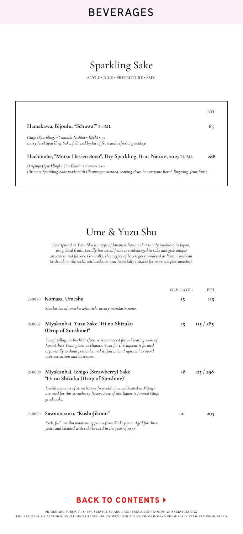# Sparkling Sake

STYLE • RICE • PREFECTURE • SMV

|                                                                                                                                                                  | BTL |
|------------------------------------------------------------------------------------------------------------------------------------------------------------------|-----|
| Hamakawa, Bijoufu, "Schuwa!" 500ML                                                                                                                               |     |
| Ginjo (Sparkling) • Yamada Nishiki • Kōchi • +5<br>Entry level Sparkling Sake, followed by bit of fruit and refreshing acidity.                                  |     |
| Hachinohe, "Mutsu Hassen 8000", Dry Sparkling, Brut Nature, 2019 750ML                                                                                           | 288 |
| Daiginjo (Sparkling) • Gin Eboshi • Aomori • +0<br>Ultimate Sparkling Sake made with Champagne method, leaving clean but extreme floral, lingering fruit finish. |     |

## Ume & Yuzu Shu

*Ume (plum) or Yuzu Shu is a type of Japanese liqueur that is only produced in Japan, using local fruits. Locally harvested fruits are submerged in sake and give unique sweetness and flavors. Generally, these types of beverages considered as liqueur and can be drunk on the rocks, with soda, or neat (especially suitable for more complex umeshu).* 

|        |                                                                                                                                                                                                                                                           | GLS (45ML) | BTL     |
|--------|-----------------------------------------------------------------------------------------------------------------------------------------------------------------------------------------------------------------------------------------------------------|------------|---------|
|        | 240010 Komasa, Umeshu                                                                                                                                                                                                                                     | 15         | II5     |
|        | Shochu-based umeshu with rich, savory mandarin notes                                                                                                                                                                                                      |            |         |
| 240007 | Miyakanbai, Yuzu Sake "Hi no Shizuku<br>(Drop of Sunshine)"                                                                                                                                                                                               | 15         | 115/285 |
|        | Umaji village in Kochi Prefecture is renowned for cultivating some of<br>Japan's best Yuzu, given its climate. Yuzu for this liqueur is farmed<br>organically without pesticides and its juice, hand squeezed to avoid<br>over extraction and bitterness. |            |         |
| 240008 | Miyakanbai, Ichigo (Strawberry) Sake<br>"Hi no Shizuku (Drop of Sunshine)"                                                                                                                                                                                | 18         | 125/298 |
|        | Lavish amounts of strawberries from old vines cultivated in Miyagi<br>are used for this strawberry liquor. Base of this liquor is Junmai Ginjo<br>grade sake.                                                                                             |            |         |
| 240000 | Sawanotsuru, "KoshuJikomi"                                                                                                                                                                                                                                | 2I         | 205     |
|        | Rich, full umeshu made using plums from Wakayama. Aged for three<br>years and blended with sake brewed in the year of 1999.                                                                                                                               |            |         |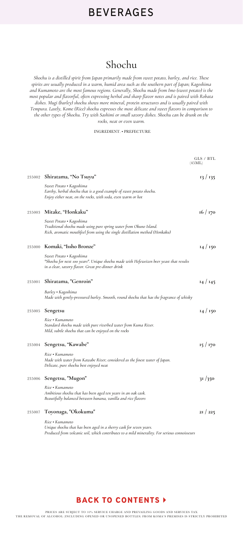## Shochu

*Shochu is a distilled spirit from Japan primarily made from sweet potato, barley, and rice. These spirits are usually produced in a warm, humid area such as the southern part of Japan; Kagoshima and Kumamoto are the most famous regions. Generally, Shochu made from Imo (sweet potato) is the most popular and flavorful, often expressing herbal and sharp flavor notes and is paired with Robata dishes. Mugi (barley) shochu shows more mineral, protein structures and is usually paired with Tempura. Lastly, Kome (Rice) shochu expresses the most delicate and sweet flavors in comparison to the other types of Shochu. Try with Sashimi or small savory dishes. Shochu can be drunk on the rocks, neat or even warm.* 

#### INGREDIENT. • PREFECTURE

|        |                                                                                                                                                                                | GLS / BTL<br>(45ML) |
|--------|--------------------------------------------------------------------------------------------------------------------------------------------------------------------------------|---------------------|
| 235002 | Shiratama, "No Tsuyu"                                                                                                                                                          | 13/135              |
|        | Sweet Potato • Kagoshima<br>Earthy, herbal shochu that is a good example of sweet potato shochu.<br>Enjoy either neat, on the rocks, with soda, even warm or hot               |                     |
| 235003 | Mitake, "Honkaku"                                                                                                                                                              | 16/170              |
|        | Sweet Potato • Kagoshima<br>Traditional shochu made using pure spring water from Okuno Island.<br>Rich, aromatic mouthfeel from using the single distillation method (Honkaku) |                     |
| 235000 | Komaki, "Issho Bronze"                                                                                                                                                         | 14/150              |
|        | Sweet Potato • Kagoshima<br>"Shochu for next 100 years". Unique shochu made with Hefeweizen beer yeast that results<br>in a clear, savory flavor. Great pre-dinner drink       |                     |
| 235001 | Shiratama, "Genroin"                                                                                                                                                           | 14/145              |
|        | Barley • Kagoshima<br>Made with gently-pressured barley. Smooth, round shochu that has the fragrance of whisky                                                                 |                     |
| 235005 | Sengetsu                                                                                                                                                                       | 14/150              |
|        | Rice • Kumamoto<br>Standard shochu made with pure riverbed water from Kuma River.<br>Mild, subtle shochu that can be enjoyed on the rocks                                      |                     |
| 235004 | Sengetsu, "Kawabe"                                                                                                                                                             | 15/170              |
|        | Rice • Kumamoto<br>Made with water from Kawabe River; considered as the finest water of Japan.<br>Delicate, pure shochu best enjoyed neat                                      |                     |
| 235006 | Sengetsu, "Mugon"                                                                                                                                                              | 31/350              |
|        | Rice • Kumamoto<br>Ambitious shochu that has been aged ten years in an oak cask.<br>Beautifully balanced between banana, vanilla and rice flavors                              |                     |
| 235007 | Toyonaga, "Okokuma"                                                                                                                                                            | 2I / 225            |
|        | Rice • Kumamoto<br>Unique shochu that has been aged in a sherry cask for seven years.                                                                                          |                     |

*Produced from volcanic soil, which contributes to a mild minerality. For serious connoisseurs*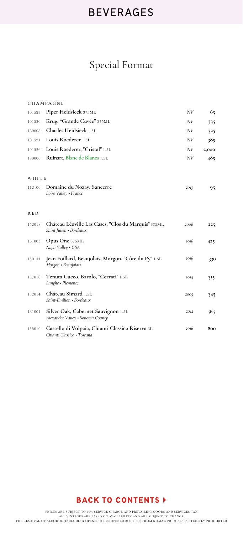# Special Format

|        | <b>CHAMPAGNE</b>                                                               |      |       |
|--------|--------------------------------------------------------------------------------|------|-------|
| 101523 | Piper Heidsieck 375ML                                                          | NV   | 65    |
| 101520 | Krug, "Grande Cuvée" 375ML                                                     | NV   | 335   |
| 180008 | Charles Heidsieck 1.5L                                                         | NV   | 325   |
| 101521 | Louis Roederer 1.5L                                                            | N V  | 385   |
| 101526 | Louis Roederer, "Cristal" 1.5L                                                 | NV   | 2,000 |
| 180006 | Ruinart, Blanc de Blancs 1.5L                                                  | N V  | 485   |
| WHITE  |                                                                                |      |       |
| 112100 | <b>Domaine du Nozay, Sancerre</b><br>Loire Valley • France                     | 2017 | 95    |
| R E D  |                                                                                |      |       |
| 152018 | Château Léoville Las Cases, "Clos du Marquis" 375ML<br>Saint Julien • Bordeaux | 2008 | 225   |
| 161003 | Opus One 375ML<br>Napa Valley • USA                                            | 2016 | 425   |
| 150151 | Jean Foillard, Beaujolais, Morgon, "Côte du Py" 1.5L<br>Morgon • Beaujolais    | 2016 | 330   |
| 157010 | Tenuta Cucco, Barolo, "Cerrati" 1.5L<br>Langhe · Piemonte                      | 2014 | 315   |
| 152014 | Château Simard 1.5L<br>Saint-Émilion · Bordeaux                                | 2005 | 345   |
| 181001 | Silver Oak, Cabernet Sauvignon 1.5L<br>Alexander Valley • Sonoma County        | 2012 | 585   |
| 155019 | Castello di Volpaia, Chianti Classico Riserva 3L<br>Chianti Classico • Toscana | 2016 | 800   |

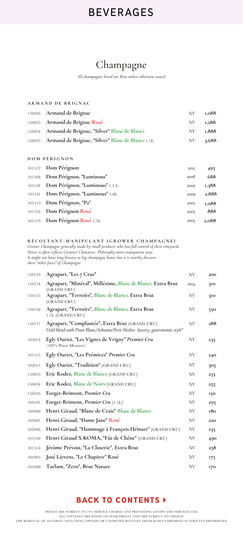## Champagne

*All champagnes listed are Brut unless otherwise stated*

|        | ARMAND DE BRIGNAC                                |      |       |
|--------|--------------------------------------------------|------|-------|
|        | 150026 Armand de Brignac                         | NV   | 1,088 |
| 150025 | Armand de Brignac Rosé                           | NV   | 1,288 |
| 150024 | Armand de Brignac, "Silver" Blanc de Blancs      | N V  | 1,888 |
| 150023 | Armand de Brignac, "Silver" Blanc de Blancs 1.5L | N V  | 3,688 |
|        |                                                  |      |       |
|        | DOM PÉRIGNON                                     |      |       |
| 101512 | Dom Pérignon                                     | 2012 | 495   |
| 101508 | Dom Pérignon, "Luminous"                         | 2008 | 688   |
| 101518 | Dom Pérignon, "Luminous" 1.5 L                   | 2009 | 1,388 |
| 101541 | Dom Pérignon, "Luminous" 3.0L                    | 2009 | 2,888 |

<sup>101516</sup> **Dom Pérignon Rosé 888** <sup>101519</sup> **Dom Pérignon Rosé** 1.5L **2,088**

**1,088**

*2002*

*2005 2005*

|  | <b>DÉCOLTANT MANIDIHANT (CDOWED CHAMDACNE)</b> |
|--|------------------------------------------------|

**Dom Pérignon, "P2"** 101513

**RÉCOLTANT-MANIPULANT (GROWER CHAMPAGNE)** *Grower Champagne generally made by small producer who has full control of their vineyards. Hence it often reflects Growers' Character, Philosophy more transparent way. It might not have long history as big champagne house but it is worthy discover these "other faces" of Champagne.*

| 150133 | Agrapart, "Les 7 Crus"                                                                                                           | N V    | 200 |
|--------|----------------------------------------------------------------------------------------------------------------------------------|--------|-----|
| 150134 | Agrapart, "Minéral", Millésime, Blanc de Blancs, Extra Brut<br>[GRAND CRU]                                                       | 2014   | 310 |
| 150135 | Agrapart, "Terroirs", Blanc de Blancs, Extra Brut<br>[GRAND CRU]                                                                 | $N\!V$ | 310 |
| 150136 | Agrapart, "Terroirs", Blanc de Blancs, Extra Brut<br>1.5L [GRAND CRU]                                                            | $N\!V$ | 550 |
| 150137 | Agrapart, "Complantée", Extra Brut [GRAND CRU]<br>Field blend with Pinot Blanc/Arbanne/Petit Meslier. Savory, gastronomic style" | N V    | 288 |
| 102014 | Egly Ouriet, "Les Vignes de Vrigny" Premier Cru<br>(100% Pinot Meunier)                                                          | N V    | 235 |
| 101515 | Egly Ouriet, "Les Prémices" Premier Cru                                                                                          | N V    | 240 |
| 102015 | Egly Ouriet, "Tradition" [GRAND CRU]                                                                                             | N V    | 305 |
| 150053 | Eric Rodez, Blanc de Blancs [GRAND CRU]                                                                                          | NV     | 235 |
| 150054 | Eric Rodez, Blanc de Noirs [GRAND CRU]                                                                                           | N V    | 255 |
| 150105 | Forget-Brimont, Premier Cru                                                                                                      | N V    | 150 |
| 100101 | Forget-Brimont, Premier Cru [1.5L]                                                                                               | N V    | 295 |
| 103000 | Henri Giraud, "Blanc de Craie" Blanc de Blancs                                                                                   | $N\!V$ | 180 |
| 103001 | Henri Giraud, "Dame Jane" Rosé                                                                                                   | N V    | 220 |
| 102006 | Henri Giraud, "Hommage à François Hémart" [GRAND CRU]                                                                            | N V    | 235 |
| 101530 | Henri Giraud X KOMA, "Fût de Chêne" [GRAND CRU]                                                                                  | NV     | 490 |
| 101514 | Jérôme Prévost, "La Closerie", Extra Brut                                                                                        | NV     | 258 |
| 102005 | José Lievens, "Le Chapitre" Rosé                                                                                                 | N V    | 175 |
| 101600 | Tarlant, "Zero", Brut Nature                                                                                                     | NV     | 170 |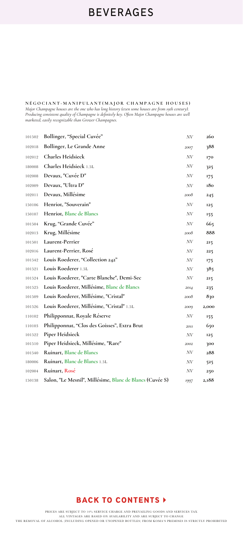**NÉGOCIANT-MANIPULANT(MAJOR CHAMPAGNE HOUSES)** *Major Champagne houses are the one who has long history (even some houses are from 19th century). Producing consistent quality of Champagne is definitely key. Often Major Champagne houses are well marketed, easily recognizable than Grower Champagnes.*

| 101502 | Bollinger, "Special Cuvée"                               | NV   | 260   |
|--------|----------------------------------------------------------|------|-------|
| 102018 | Bollinger, Le Grande Anne                                | 2007 | 388   |
| 102012 | <b>Charles Heidsieck</b>                                 | NV   | 170   |
| 180008 | Charles Heidsieck 1.5L                                   | NV   | 325   |
| 102008 | Devaux, "Cuvée D"                                        | NV   | 175   |
| 102009 | Devaux, "Ultra D"                                        | NV   | 180   |
| 102011 | Devaux, Millésime                                        | 2008 | 245   |
| 150106 | Henriot, "Souverain"                                     | NV   | 125   |
| 150107 | Henriot, Blanc de Blancs                                 | NV   | 155   |
| 101504 | Krug, "Grande Cuvée"                                     | NV   | 665   |
| 102013 | Krug, Millésime                                          | 2008 | 888   |
| 101501 | Laurent-Perrier                                          | NV   | 215   |
| 102016 | Laurent-Perrier, Rosé                                    | NV   | 225   |
| 101542 | Louis Roederer, "Collection 242"                         | NV   | 175   |
| 101521 | Louis Roederer 1.5L                                      | N V  | 385   |
| 101524 | Louis Roederer, "Carte Blanche", Demi-Sec                | NV   | 215   |
| 101525 | Louis Roederer, Millésime, Blanc de Blancs               | 2014 | 235   |
| 101509 | Louis Roederer, Millésime, "Cristal"                     | 2008 | 830   |
| 101526 | Louis Roederer, Millésime, "Cristal" 1.5L                | 2009 | 2,000 |
| 110102 | Philipponnat, Royale Réserve                             | NV   | 155   |
| 110103 | Philipponnat, "Clos des Goisses", Extra Brut             | 2011 | 650   |
| 101522 | Piper Heidsieck                                          | NV   | 125   |
| 101510 | Piper Heidsieck, Millésime, "Rare"                       | 2002 | 300   |
| 101540 | Ruinart, Blanc de Blancs                                 | NV   | 288   |
| 180006 | Ruinart, Blanc de Blancs 1.5L                            | NV   | 525   |
| 102004 | Ruinart, Rosé                                            | NV   | 250   |
| 150138 | Salon, "Le Mesnil", Millésime, Blanc de Blancs (Cuvée S) | 1997 | 2,188 |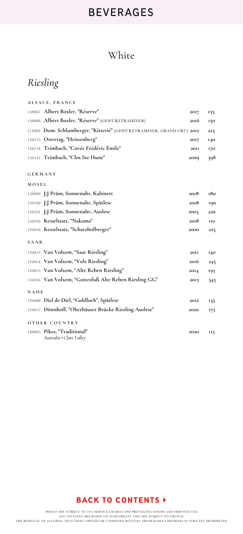## White

# *Riesling*

|                | ALSACE, FRANCE                                                        |             |            |
|----------------|-----------------------------------------------------------------------|-------------|------------|
|                | 150067 Albert Boxler, "Réserve"                                       | 2017        | 155        |
|                | 150068 Albert Boxler, "Réserve" [GEWÜRZTRAMINER]                      | 2016        | 150        |
|                | 113003 Dom. Schlumberger, "Kitterié" [GEWÜRZTRAMINER, GRAND CRU] 2012 |             | 225        |
|                | 150113 Ostertag, "Heissenberg"                                        | 2017        | 140        |
|                | 150114 Trimbach, "Cuvée Frédéric Émile"                               | <b>20II</b> | 170        |
|                | 150141 Trimbach, "Clos Ste Hune"                                      | 2009        | 398        |
| <b>GERMANY</b> |                                                                       |             |            |
| MOSEL          |                                                                       |             |            |
|                | 150099 J.J Prüm, Sonnenuhr, Kabinett                                  | 2018        | 180        |
|                | 150100 J.J Prüm, Sonnenuhr, Spätlese                                  | 2018        | 190        |
|                | 150101 J.J Prüm, Sonnenuhr, Auslese                                   | 2003        | 220        |
|                | 150102 Kesselstatt, "Nakama"                                          | 2018        | <b>IIO</b> |
|                | 134010 Kesselstatt, "Scharzhofberger"                                 | 2000        | 225        |
| <b>SAAR</b>    |                                                                       |             |            |
|                | 134013 Van Volxem, "Saar Riesling"                                    | <b>20II</b> | <b>140</b> |
|                | 134014 Van Volxem, "Volz Riesling"                                    | 2016        | 245        |
|                | 134015 Van Volxem, "Alte Reben Riesling"                              | 2014        | 195        |
|                | 134016 Van Volxem, "Gottesfuß Alte Reben Riesling GG"                 | 2015        | 345        |
| NAHE           |                                                                       |             |            |
|                | 134000 Diel de Diel, "Goldloch", Spätlese                             | 2012        | 135        |
|                | 134017 Dönnhoff, "Oberhäuser Brücke Riesling Auslese"                 | 2020        | 175        |
|                | OTHER COUNTRY                                                         |             |            |
|                | 140005 Pikes, "Traditional"<br>Australia • Clare Valley               | 2020        | II5        |

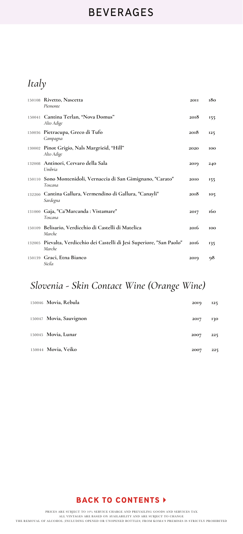# *Italy*

| 150108 Rivetto, Nascetta<br>Piemonte                                              | <b>20II</b> | 180 |
|-----------------------------------------------------------------------------------|-------------|-----|
| 150041 Cantina Terlan, "Nova Domus"<br>Alto Adige                                 | 2018        | 155 |
| 150036 Pietracupa, Greco di Tufo<br>Campagna                                      | 2018        | 125 |
| 130002 Pinot Grigio, Nals Margrieid, "Hill"<br>Alto Adige                         | 2020        | 100 |
| 132008 Antinori, Cervaro della Sala<br>Umbria                                     | 2019        | 240 |
| 150110 Sono Montenidoli, Vernaccia di San Gimignano, "Carato"<br>Toscana          | 2010        | 155 |
| 132200 Cantina Gallura, Vermendino di Gallura, "Canayli"<br>Sardegna              | 2018        | 105 |
| 131000 Gaja, "Ca'Marcanda : Vistamare"<br>Toscana                                 | 2017        | 160 |
| 150109 Belisario, Verdicchio di Castelli di Matelica<br>Marche                    | 2016        | 100 |
| 132005 Pievalta, Verdicchio dei Castelli di Jesi Superiore, "San Paolo"<br>Marche | 2016        | 135 |
| 150139 Graci, Etna Bianco<br>Sicila                                               | 2019        | 98  |

## *Slovenia - Skin Contact Wine (Orange Wine)*

| 150046 Movia, Rebula    | 2019 | 125 |
|-------------------------|------|-----|
| 150047 Movia, Sauvignon | 2017 | 130 |
| 150045 Movia, Lunar     | 2007 | 225 |
| 150044 Movia, Veiko     | 2007 | 225 |

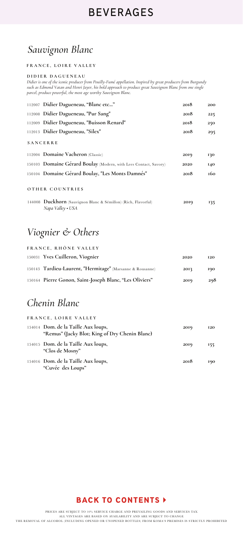## *Sauvignon Blanc*

### **FRANCE, LOIRE VALLEY**

#### **DIDIER DAGUENEAU**

*Didier is one of the iconic producer from Pouilly-Fumé appellation. Inspired by great producers from Burgundy such as Edmond Vatan and Henri Jayer, his bold approach to produce great Sauvignon Blanc from one single parcel, produce powerful, the most age worthy Sauvignon Blanc.*

| 112007 Didier Dagueneau, "Blanc etc"                                                | 2018 | 200 |
|-------------------------------------------------------------------------------------|------|-----|
| 112008 Didier Dagueneau, "Pur Sang"                                                 | 2018 | 225 |
| 112009 Didier Dagueneau, "Buisson Renard"                                           | 2018 | 250 |
| 112013 Didier Dagueneau, "Silex"                                                    | 2018 | 295 |
| <b>SANCERRE</b>                                                                     |      |     |
| 112004 Domaine Vacheron (Classic)                                                   | 2019 | 130 |
| 150103 Domaine Gerard Boulay (Modern, with Lees Contact, Savory)                    | 2020 | 140 |
| 150104 Domaine Gérard Boulay, "Les Monts Damnés"                                    | 2018 | 160 |
| OTHER COUNTRIES                                                                     |      |     |
| 144008 Duckhorn (Sauvignon Blanc & Sémillon) (Rich, Flavorful)<br>Napa Valley • USA | 2019 | 135 |

## *Viognier & Others*

| FRANCE, RHÔNE VALLEY                                      |      |            |  |  |
|-----------------------------------------------------------|------|------------|--|--|
| 150031 Yves Cuilleron, Viognier                           | 2020 | <b>I2O</b> |  |  |
| 150143 Tardieu-Laurent, "Hermitage" (Marsanne & Rousanne) | 2013 | 190        |  |  |
| 150164 Pierre Gonon, Saint-Joseph Blanc, "Les Oliviers"   | 2019 | 298        |  |  |

## *Chenin Blanc*

| FRANCE, LOIRE VALLEY                                                                  |      |            |
|---------------------------------------------------------------------------------------|------|------------|
| 154014 Dom. de la Taille Aux loups,<br>"Remus" (Jacky Blot; King of Dry Chenin Blanc) | 2019 | <b>I2O</b> |
| 154015 Dom. de la Taille Aux loups,<br>"Clos de Mosny"                                | 2019 | 155        |
| 154016 Dom. de la Taille Aux loups,<br>"Cuvée des Loups"                              | 2018 | 190        |

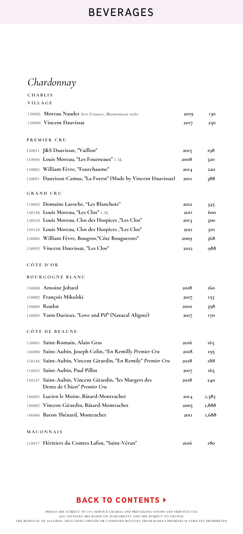# *Chardonnay*

| CHABLIS |                                                                                       |             |       |
|---------|---------------------------------------------------------------------------------------|-------------|-------|
| VILLAGE |                                                                                       |             |       |
|         | 150085 Moreau Naudet (lees Contact, Harmonious style)                                 | 2019        | 130   |
|         | 150090 Vincent Dauvissat                                                              | 2017        | 250   |
|         | PREMIER CRU                                                                           |             |       |
|         | 150051 J&S Dauvissat, "Vaillon"                                                       | 2015        | 198   |
|         | 110040 Louis Moreau, "Les Fourneaux" 1.5L                                             | 2008        | 320   |
|         | 150083 William Fèvre, "Fourchaume"                                                    | 2014        | 220   |
|         | 150091 Dauvissat-Camus, "La Forest" (Made by Vincent Dauvissat)                       | <b>20II</b> | 388   |
|         | <b>GRAND CRU</b>                                                                      |             |       |
|         | 110002 Domaine Laroche, "Les Blanchots"                                               | 2012        | 345   |
|         | 150148 Louis Moreau, "Les Clos" 1.5L                                                  | <b>20II</b> | 600   |
|         | 150250 Louis Moreau, Clos des Hospices ,"Les Clos"                                    | 2013        | 300   |
|         | 150150 Louis Moreau, Clos des Hospices ,"Les Clos"                                    | <b>2011</b> | 310   |
|         | 150084 William Fevre, Bougros,"Côte Bouguerots"                                       | 2009        | 368   |
|         | 150092 Vincent Dauvissat, "Les Clos"                                                  | 2012        | 988   |
|         | CÔTE D'OR                                                                             |             |       |
|         | <b>BOURGOGNE BLANC</b>                                                                |             |       |
|         | 150088 Antoine Jobard                                                                 | 2018        | 160   |
|         | 150082 François Mikulski                                                              | 2017        | 155   |
|         | 150089 Roulot                                                                         | 2010        | 398   |
|         | 150093 Yann Durieux, "Love and Pif" (Natural Aligoté)                                 | 2017        | 170   |
|         | CÔTE DE BEAUNE                                                                        |             |       |
|         | 150065 Saint-Romain, Alain Gras                                                       | 2016        | 165   |
|         | 146000 Saint-Aubin, Joseph Colin, "En Remilly Premier Cru                             | 2018        | 195   |
| 150146  | Saint-Aubin, Vincent Girardin, "En Remily" Premier Cru                                | 2018        | 188   |
|         | 110032 Saint-Aubin, Paul Pillot                                                       | 2017        | 165   |
|         | 150147 Saint-Aubin, Vincent Girardin, "les Murgers des<br>Dents de Chien" Premier Cru | 2018        | 240   |
|         | 146003 Lucien le Moine, Bâtard-Montrachet                                             | 2014        | 1,385 |
|         | 146002 Vincent Girardin, Bâtard-Montrachet                                            | 2005        | 1,888 |
|         | 146006 Baron Thénard, Montrachet                                                      | <b>20II</b> | 1,688 |
|         | MÃCONNAIS                                                                             |             |       |
|         | 110017 Héritiers du Comtes Lafon, "Saint-Véran"                                       | 2016        | 180   |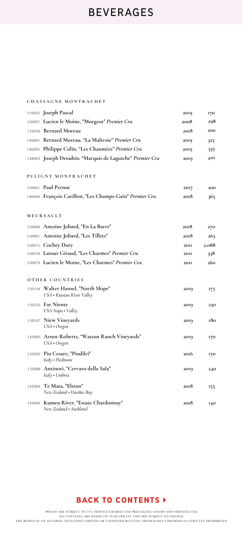|        | <b>CHASSAGNE MONTRACHET</b>                                       |             |       |
|--------|-------------------------------------------------------------------|-------------|-------|
|        | 110025 Joseph Pascal                                              | 2019        | 170   |
|        | 150097 Lucien le Moine, "Morgeot" Premier Cru                     | 2008        | 298   |
|        | 110026 Bernard Moreau                                             | 2018        | 200   |
|        | 146001 Bernard Moreau, "La Maltroie" Premier Cru                  | 2019        | 325   |
|        | 146005 Philippe Colin, "Les Chaumées" Premier Cru                 | 2019        | 335   |
|        | 148003 Joseph Drouhin, "Marquis de Laguiche" Premier Cru          | 2019        | 410   |
|        | PULIGNY MONTRACHET                                                |             |       |
|        | 150061 Paul Pernot                                                | 2017        | 200   |
|        | 146004 François Carillon, "Les Champs-Gain" Premier Cru           | 2018        | 365   |
|        | MEURSAULT                                                         |             |       |
|        | 150080 Antoine Jobard, "En La Barre"                              | 2018        | 270   |
|        | 150081 Antoine Jobard, "Les Tillets"                              | 2018        | 265   |
|        | 150075 Cochey Dury                                                | <b>20II</b> | 2,088 |
|        | 150078 Latour Giraud, "Les Charmes" Premier Cru                   | <b>20II</b> | 338   |
|        | 150079 Lucien le Moine, "Les Charmes" Premier Cru                 | <b>20II</b> | 260   |
|        | OTHER COUNTRIES                                                   |             |       |
|        | 150144 Walter Hansel, "North Slope"<br>USA • Russian River Valley | 2019        | 175   |
|        | 150145 Far Niente<br>USA Napa • Valley                            | 2019        | 250   |
|        | 150167 Niew Vineyards<br>USA · Oregon                             | 2019        | 180   |
|        | 143003 Arnot-Roberts, "Watson Ranch Vineyards"<br>USA • Oregon    | 2019        | 170   |
|        | 132002 Pio Cesare, "Piodilei"<br>Italy • Piedmont                 | 2016        | 170   |
| 132008 | Antinori, "Cervaro della Sala"<br>Italy • Umbria                  | 2019        | 240   |
|        | 142004 Te Mata, "Elston"<br>New Zealand . Hawkes Bay              | 2018        | 155   |
|        | 142006 Kumeu River, "Estate Chardonnay"<br>New Zealand • Auckland | 2018        | 140   |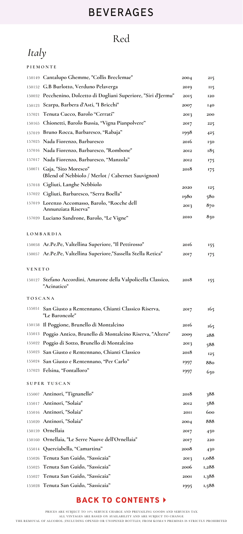# Red

# *Italy*

|                | PIEMONTE                                                                         |             |            |
|----------------|----------------------------------------------------------------------------------|-------------|------------|
|                | 150149 Cantalupo Ghemme, "Collis Breclemae"                                      | 2004        | 215        |
|                | 150152 G.B Burlotto, Verduno Pelaverga                                           | 2019        | <b>II5</b> |
|                | 150032 Pecchenino, Dolcetto di Dogliani Superiore, "Siri d'Jermu"                | 2015        | <b>I20</b> |
|                | 150123 Scarpa, Barbera d'Asti, "I Bricchi"                                       | 2007        | 140        |
|                | 157021 Tenuta Cucco, Barolo "Cerrati"                                            | 2013        | 200        |
|                | 150165 Chionetti, Barolo Bussia, "Vigna Pianpolvere"                             | 2017        | 225        |
|                | 157019 Bruno Rocca, Barbaresco, "Rabaja"                                         | 1998        | 425        |
|                | 157025 Nada Fiorenzo, Barbaresco                                                 | 2016        | 150        |
|                | 157016 Nada Fiorenzo, Barbaresco, "Rombone"                                      | 2012        | 185        |
|                | 157017 Nada Fiorenzo, Barbaresco, "Manzola"                                      | 2012        | 175        |
|                | 150071 Gaja, "Sito Moresco"<br>(Blend of Nebbiolo / Merlot / Cabernet Sauvignon) | 2018        | 175        |
|                | 157018 Cigliuti, Langhe Nebbiolo                                                 | 2020        | 125        |
|                | 157022 Cigliuti, Barbaresco, "Serra Boella"                                      | 1980        | 580        |
|                | 157019 Lorenzo Accomasso, Barolo, "Rocche dell<br>Annunziata Riserva"            | 2013        | 870        |
|                | 157020 Luciano Sandrone, Barolo, "Le Vigne"                                      | 2010        | 850        |
|                | LOMBARDIA                                                                        |             |            |
|                | 150058 Ar.Pe.Pe, Valtellina Superiore, "Il Pettirosso"                           | 2016        | 155        |
|                | 150057 Ar.Pe.Pe, Valtellina Superiore,"Sassella Stella Retica"                   | 2017        | 175        |
| VENETO         |                                                                                  |             |            |
|                | 150127 Stefano Accordini, Amarone della Valpolicella Classico,<br>"Acinatico"    | 2018        | 155        |
| <b>TOSCANA</b> |                                                                                  |             |            |
| 155051         | San Giusto a Rentennano, Chianti Classico Riserva,<br>"Le Baroncole"             | 2017        | 165        |
|                | 150158 Il Poggione, Brunello di Montalcino                                       | 2016        | 165        |
|                | 155013 Poggio Antico, Brunello di Montalcino Riserva, "Altero"                   | 2009        | 288        |
|                | 155022 Poggio di Sotto, Brunello di Montalcino                                   | 2013        | 588        |
|                | 155023 San Giusto e Rentennano, Chianti Classico                                 | 2018        | 125        |
|                | 155024 San Giusto e Rentennano, "Per Carlo"                                      | 1997        | 880        |
|                | 157023 Felsina, "Fontalloro"                                                     | 1997        | 650        |
|                | SUPER TUSCAN                                                                     |             |            |
|                | 155007 Antinori, "Tignanello"                                                    | 2018        | 388        |
|                | 155017 Antinori, "Solaia"                                                        | 2012        | 588        |
|                | 155016 Antinori, "Solaia"                                                        | <b>20II</b> | 600        |
|                | 155020 Antinori, "Solaia"                                                        | 2004        | 888        |
|                | 150159 Ornellaia                                                                 | 2017        | 450        |
|                | 150160 Ornellaia, "Le Serre Nuove dell'Ornellaia"                                | 2017        | 220        |
|                | 155014 Querciabella, "Camartina"                                                 | 2008        | 430        |
|                | 155026 Tenuta San Guido, "Sassicaia"                                             | 2013        | 1,088      |
| 155025         | Tenuta San Guido, "Sassicaia"                                                    | 2006        | 1,288      |
| 155027         | Tenuta San Guido, "Sassicaia"                                                    | <b>200I</b> | 1,388      |
|                | 155028 Tenuta San Guido, "Sassicaia"                                             | 1995        | 1,588      |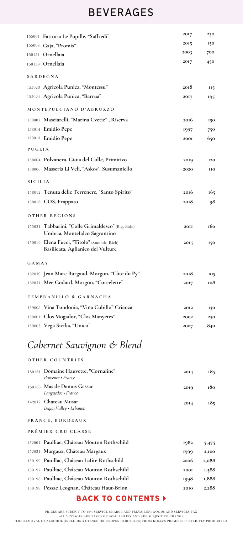|                | 155004 Fattoria Le Pupille, "Saffredi"                                                  | 2017        | 250        |
|----------------|-----------------------------------------------------------------------------------------|-------------|------------|
|                | 155008 Gaja, "Promis"                                                                   | 2015        | 150        |
|                | 150154 Ornellaia                                                                        | 2003        | 700        |
|                | 150159 Ornellaia                                                                        | 2017        | 450        |
|                | SARDEGNA                                                                                |             |            |
|                | 155023 Agricola Punica, "Montessu"                                                      | 2018        | <b>115</b> |
|                | 155024 Agricola Punica, "Barrua"                                                        | 2017        | 195        |
|                | MONTEPULCIANO D'ABRUZZO                                                                 |             |            |
|                | 158007 Masciarelli, "Marina Cvetic", Riserva                                            | 2016        | 150        |
|                | 158014 Emidio Pepe                                                                      | 1997        | 750        |
|                | 158015 Emidio Pepe                                                                      | <b>2001</b> | 650        |
| PUGLIA         |                                                                                         |             |            |
|                | 158004 Polvanera, Gioia del Colle, Primitivo                                            | 2019        | <b>I20</b> |
|                | 158006 Masseria Li Veli, "Askos", Susumaniello                                          | 2020        | <b>IIO</b> |
| <b>SICILIA</b> |                                                                                         |             |            |
|                | 158012 Tenuta delle Terrenere, "Santo Spirito"                                          | 2016        | 165        |
|                | 158016 COS, Frappato                                                                    | 2018        | 98         |
|                | OTHER REGIONS                                                                           |             |            |
| 155021         | Tabbarini, "Colle Grimaldesco" (Big, Bold)<br>Umbria, Montefalco Sagrantino             | <b>20II</b> | 160        |
|                | 150019 Elena Fucci, "Titolo" (Smooth, Rich)<br><b>Basilicata, Aglianico del Vulture</b> | 2015        | 150        |
| GAMAY          |                                                                                         |             |            |
|                | 162030 Jean Marc Burgaud, Morgon, "Côte du Py"                                          | 2018        | 105        |
|                | 162031 Mee Godard, Morgon, "Corcelette"                                                 | 2017        | 108        |
|                | TEMPRANILLO & GARNACHA                                                                  |             |            |
|                | 159008 Viña Tondonia, "Viña Cubillo" Crianza                                            | 2012        | 130        |
| 159001         | Clos Mogador, "Clos Manyetes"                                                           | 2002        | 250        |
|                | 159003 Vega Sicilia, "Unico"                                                            | 2007        | 840        |
|                | Cabernet Sauvignon & Blend                                                              |             |            |

#### **OTHER COUNTRIES**

| 150161 Domaine Hauvette, "Cornaline"<br>Provence • France | 2014        | 185   |
|-----------------------------------------------------------|-------------|-------|
| 150166 Mas de Damus Gassac<br>Languedoc • France          | 2019        | 180   |
| 142012 Chateau Musar<br>Beqaa Valley . Lebanon            | 2014        | 185   |
| FRANCE, BORDEAUX                                          |             |       |
| PRÉMIER CRU CLASSE                                        |             |       |
| 152001 Paulliac, Château Mouton Rothschild                | 1982        | 5,475 |
| 152021 Margaux, Château Margaux                           | 1999        | 2,100 |
| 150199 Pauillac, Château Lafite Rothschild                | 2006        | 2,088 |
| 150197 Paulliac, Château Mouton Rothschild                | <b>2001</b> | 1,588 |
| 150198 Paulliac, Château Mouton Rothschild                | 1998        | 1,888 |
| 150198 Pessac Leognan, Château Haut-Brion                 | 2010        | 2,288 |

### **BACK TO CONTENTS >**

PRICES ARE SUBJECT TO 10% SERVICE CHARGE AND PREVAILING GOODS AND SERVICES TAX

ALL VINTAGES ARE BASED ON AVAILABILITY AND ARE SUBJECT TO CHANGE<br>THE REMOVAL OF ALCOHOL (INCLUDING OPENED OR UNOPENED BOTTLES) FROM KOMA'S PREMISES IS STRICTLY PROHIBITED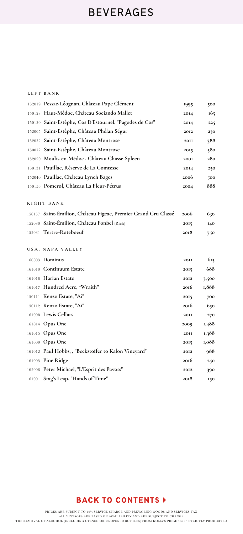### **LEFT BANK**

| 152019 Pessac-Léognan, Château Pape Clément                    | 1995        | 500   |
|----------------------------------------------------------------|-------------|-------|
| 150128 Haut-Médoc, Château Sociando Mallet                     | 2014        | 165   |
| 150130 Saint-Estèphe, Cos D'Estournel, "Pagodes de Cos"        | 2014        | 225   |
| 152005 Saint-Estèphe, Château Phélan Ségur                     | 2012        | 230   |
| 152032 Saint-Estèphe, Château Montrose                         | <b>20II</b> | 388   |
| 150072 Saint-Estèphe, Château Montrose                         | 2015        | 580   |
| 152020 Moulis-en-Médoc, Château Chasse Spleen                  | <b>2001</b> | 280   |
| 150131 Pauillac, Réserve de La Comtesse                        | 2014        | 250   |
| 152040 Pauillac, Château Lynch Bages                           | 2006        | 500   |
| 150156 Pomerol, Château La Fleur-Pétrus                        | 2004        | 888   |
|                                                                |             |       |
| RIGHT BANK                                                     |             |       |
| 150157 Saint-Émilion, Château Figeac, Premier Grand Cru Classé | 2006        | 630   |
| 152030 Saint-Émilion, Château Fonbel (Rich)                    | 2015        | 140   |
| 152031 Tertre-Roteboeuf                                        | 2018        | 750   |
|                                                                |             |       |
|                                                                |             |       |
| USA, NAPA VALLEY                                               |             |       |
| 160003 <b>Dominus</b>                                          | <b>20II</b> | 615   |
| 161010 Continuum Estate                                        | 2015        | 688   |
| 161016 Harlan Estate                                           | 2012        | 3,500 |
| 161017 Hundred Acre, "Wraith"                                  | 2016        | 1,888 |
| 150111 Kenzo Estate, "Ai"                                      | 2015        | 700   |
| 150112 Kenzo Estate, "Ai"                                      | 2016        | 650   |
| 161008 Lewis Cellars                                           | <b>2011</b> | 270   |
| 161014 Opus One                                                | 2009        | 1,488 |
| 161015 Opus One                                                | <b>20II</b> | 1,388 |
| 161009 Opus One                                                | 2015        | 1,088 |
| 161012 Paul Hobbs,, "Beckstoffer to Kalon Vineyard"            | 2012        | 988   |
| 161005 Pine Ridge                                              | 2016        | 250   |
| 162006 Peter Michael, "L'Esprit des Pavots"                    | 2012        | 390   |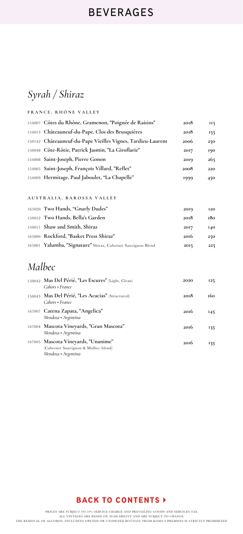# *Syrah / Shiraz*

| FRANCE, RHÔNE VALLEY                                        |      |            |  |  |
|-------------------------------------------------------------|------|------------|--|--|
| 154007 Côtes du Rhône, Gramenon, "Poignée de Raisins"       | 2018 | <b>II5</b> |  |  |
| 154013 Châteauneuf-du-Pape, Clos des Brusquières            | 2018 | 155        |  |  |
| 150142 Châteauneuf-du-Pape Vieilles Vignes, Tardieu-Laurent | 2006 | 250        |  |  |
| 150048 Côte-Rôtie, Patrick Jasmin, "La Giroflarie"          | 2017 | 190        |  |  |
| 154008 Saint-Joseph, Pierre Gonon                           | 2019 | 265        |  |  |
| 154005 Saint-Joseph, François Villard, "Reflet"             | 2008 | 220        |  |  |
| 154009 Hermitage, Paul Jaboulet, "La Chapelle"              | 1999 | 450        |  |  |

#### **AUSTRALIA, BAROSSA VALLEY**

| 165020 Two Hands, "Gnarly Dudes"                             | 2019        | <b>I2O</b> |
|--------------------------------------------------------------|-------------|------------|
| 150052 Two Hands, Bella's Garden                             | 2018        | 180.       |
| 150017 Shaw and Smith, Shiraz                                | <b>2017</b> | <b>140</b> |
| 165000 Rockford, "Basket Press Shiraz"                       | 2016        | 250        |
| 165001 Yalumba, "Signature" Shiraz, Cabernet Sauvignon Blend | 2015        | 225        |

## *Malbec*

| 150042 Mas Del Périé, "Les Escures" (Light, Clean)<br>Cahors • France                             | 2020 | 125  |
|---------------------------------------------------------------------------------------------------|------|------|
| 150043 Mas Del Périé, "Les Acacias" (Structured)<br>Cahors • France                               | 2018 | 160. |
| 167007 Catena Zapata, "Angelica"<br>Mendoza · Argentina                                           | 2016 | I45  |
| 167004 Mascota Vineyards, "Gran Mascota"<br>Mendoza • Argentina                                   | 2016 | 135  |
| 167005 Mascota Vineyards, "Unanime"<br>(Cabernet Sauvignon & Malbec blend)<br>Mendoza • Argentina | 2016 | 135  |

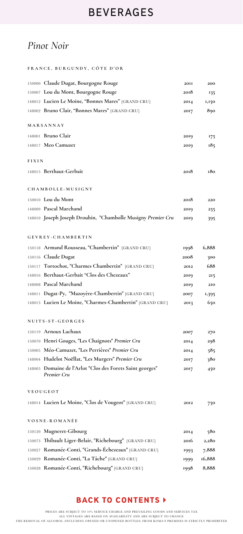# *Pinot Noir*

### **FRANCE, BURGUNDY, CÔTE D'OR**

|              | 150000 Claude Dugat, Bourgogne Rouge                         | <b>20II</b> | 200    |  |
|--------------|--------------------------------------------------------------|-------------|--------|--|
|              | 150007 Lou du Mont, Bourgogne Rouge                          | 2018        | 135    |  |
|              | 148012 Lucien Le Moine, "Bonnes Mares" [GRAND CRU]           | 2014        | 1,150  |  |
|              | 148002 Bruno Clair, "Bonnes Mares" [GRAND CRU]               | 2017        | 890    |  |
|              | MARSANNAY                                                    |             |        |  |
|              | 148001 Bruno Clair                                           | 2019        | 175    |  |
|              | 148017 Meo Camuzet                                           | 2019        | 185    |  |
|              |                                                              |             |        |  |
| <b>FIXIN</b> |                                                              |             |        |  |
|              | 148015 Berthaut-Gerbait                                      | 2018        | 180    |  |
|              | CHAMBOLLE-MUSIGNY                                            |             |        |  |
|              | 150010 Lou du Mont                                           | 2018        | 220    |  |
|              | 148009 Pascal Marchand                                       | 2019        | 255    |  |
|              | 148010 Joseph Joseph Drouhin, "Chambolle Musigny Premier Cru | 2019        | 395    |  |
|              |                                                              |             |        |  |
|              | GEVREY-CHAMBERTIN                                            |             |        |  |
|              | 150118 Armand Rousseau, "Chambertin" [GRAND CRU]             | 1998        | 6,888  |  |
|              | 150116 Claude Dugat                                          | 2008        | 300    |  |
|              | 150117 Tortochot, "Charmes Chambertin" [GRAND CRU]           | 2012        | 688    |  |
|              | 148016 Berthaut-Gerbait "Clos des Chezeaux"                  | 2019        | 215    |  |
|              | 148008 Pascal Marchand                                       | 2019        | 210    |  |
|              | 148011 Dugat-Py, "Mazoyère-Chambertin" [GRAND CRU]           | 2007        | 1,395  |  |
|              | 148013 Lucien Le Moine, "Charmes-Chambertin" [GRAND CRU]     | 2013        | 650    |  |
|              | NUITS-ST-GEORGES                                             |             |        |  |
|              | 150119 Arnoux Lachaux                                        | 2007        | 270    |  |
|              | 150070 Henri Gouges, "Les Chaignots" Premier Cru             | 2014        | 298    |  |
|              | 150005 Méo-Camuzet, "Les Perrières" Premier Cru              | 2014        | 585    |  |
|              | 148004 Hudelot Noëllat, "Les Murgers" Premier Cru            | 2017        | 380    |  |
|              | 148005 Domaine de l'Arlot "Clos des Forets Saint georges"    | 2017        | 450    |  |
|              | Premier Cru                                                  |             |        |  |
|              | VEOUGEOT                                                     |             |        |  |
|              | 148014 Lucien Le Moine, "Clos de Vougeot" [GRAND CRU]        | 2012        | 750    |  |
|              |                                                              |             |        |  |
|              | VOSNE-ROMANÉE                                                |             |        |  |
|              | 150120 Mugneret-Gibourg                                      | 2014        | 580    |  |
|              | 150073 Thibault Liger-Belair, "Richebourg" [GRAND CRU]       | 2016        | 2,280  |  |
|              | 150027 Romanée-Conti, "Grands-Échezeaux" [GRAND CRU]         | 1993        | 7,888  |  |
|              | 150029 Romanée-Conti, "La Tâche" [GRAND CRU]                 | 1999        | 16,888 |  |
|              | 150028 Romanée-Conti, "Richebourg" [GRAND CRU]               | 1998        | 8,888  |  |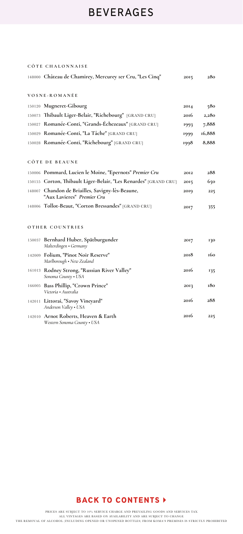| CÔTE CHALONNAISE                                                               |      |        |
|--------------------------------------------------------------------------------|------|--------|
| 148000 Château de Chamirey, Mercurey Ier Cru, "Les Cinq"                       | 2015 | 280    |
| VOSNE - ROMANÉE                                                                |      |        |
|                                                                                |      |        |
| 150120 Mugneret-Gibourg                                                        | 2014 | 580    |
| 150073 Thibault Liger-Belair, "Richebourg" [GRAND CRU]                         | 2016 | 2,280  |
| 150027 Romanée-Conti, "Grands-Échezeaux" [GRAND CRU]                           | 1993 | 7,888  |
| 150029 Romanée-Conti, "La Tâche" [GRAND CRU]                                   | 1999 | 16,888 |
| 150028 Romanée-Conti, "Richebourg" [GRAND CRU]                                 | 1998 | 8,888  |
|                                                                                |      |        |
| CÔTE DE BEAUNE                                                                 |      |        |
| 150006 Pommard, Lucien le Moine, "Epernots" Premier Cru                        | 2012 | 288    |
| 150155 Corton, Thibault Liger-Belair, "Les Renardes" [GRAND CRU]               | 2015 | 650    |
| 148007 Chandon de Briailles, Savigny-lès-Beaune,<br>"Aux Lavieres" Premier Cru | 2019 | 225    |
| 148006 Tollot-Beaut, "Corton Bressandes" [GRAND CRU]                           | 2017 | 355    |
| OTHER COUNTRIES                                                                |      |        |
| 150037 Bernhard Huber, Spätburgunder<br>Malterdingen • Germany                 | 2017 | 130    |
| 142009 Folium, "Pinot Noir Reserve"<br>Marlborough • New Zealand               | 2018 | 160    |
| 161013 Rodney Strong, "Russian River Valley"<br>Sonoma County . USA            | 2016 | 135    |
| 166005 Bass Phillip, "Crown Prince"<br>Victoria • Australia                    | 2013 | 180    |
| 142011 Littorai, "Savoy Vineyard"<br>Anderson Valley • USA                     | 2016 | 288    |
| 142010 Arnot Roberts, Heaven & Earth<br>Western Sonoma County • USA            | 2016 | 225    |

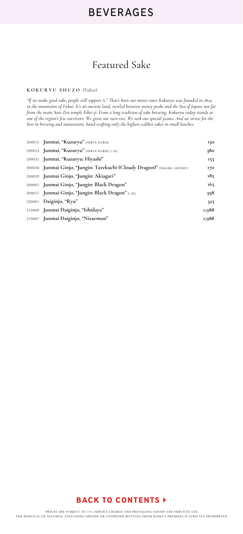## Featured Sake

#### **KOKURYU SHUZO** (Fukui)

*"If we make good sake, people will support it." That's been our motto since Kokuryu was founded in 1804 in the mountains of Fukui. It's an ancient land, nestled between snowy peaks and the Sea of Japan, not far from the main Soto Zen temple Eihei-ji. From a long tradition of sake brewing, Kokuryu today stands as one of the region's few survivors. We grow our own rice. We seek out special yeasts. And we strive for the best in brewing and maturation, hand-crafting only the highest-caliber sakes in small batches.*

| 200015 Junmai, "Kuzuryu" [SERVE WARM]                                     | 150   |
|---------------------------------------------------------------------------|-------|
| 200014 Junmai, "Kuzuryu" [SERVE WARM] [1.8L]                              | 380   |
| 200031 Junmai, "Kuzuryu: Hiyashi"                                         | 155   |
| 200030 Junmai Ginjo, "Jungin: Tarekuchi (Cloudy Dragon)" [NIGORI, GENSHU] | 170   |
| 200029 Junmai Ginjo, "Jungin: Akiagari"                                   | 185   |
| 200001 Junmai Ginjo, "Jungin: Black Dragon"                               | 165   |
| 200017 Junmai Ginjo, "Jungin: Black Dragon" [1.8L]                        | 398   |
| 220001 Daiginjo, "Ryu"                                                    | 325   |
| 210009 Junmai Daiginjo, "Ishidaya"                                        | 1,988 |
| 210007 Junmai Daiginjo, "Nizaemon"                                        | 1,988 |

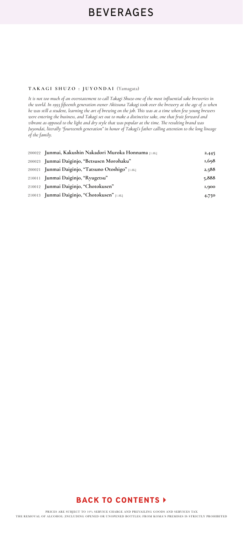#### **TAKAGI SHUZO : JUYONDAI** (Yamagata)

*It is not too much of an overstatement to call Takagi Shuzo one of the most influential sake breweries in the world. In 1993 fifteenth generation owner Akitsuna Takagi took over the brewery at the age of 21 when he was still a student, learning the art of brewing on the job. This was at a time when few young brewers were entering the business, and Takagi set out to make a distinctive sake, one that fruit forward and vibrant as opposed to the light and dry style that was popular at the time. The resulting brand was Juyondai, literally "fourteenth generation" in honor of Takagi's father calling attention to the long lineage of the family.*

| 200022 Junmai, Kakushin Nakadori Muroka Honnama [1.8L] | 2,445 |
|--------------------------------------------------------|-------|
| 200023 Junmai Daiginjo, "Betsusen Morohaku"            | 1,698 |
| 200021 Junmai Daiginjo, "Tatsuno Otoshigo" [1.8L]      | 2,588 |
| 210011 Junmai Daiginjo, "Ryugetsu"                     | 5,888 |
| 210012 Junmai Daiginjo, "Chotokusen"                   | 1,900 |
| 210013 Junmai Daiginjo, "Chotokusen" [1.8L]            | 4,750 |

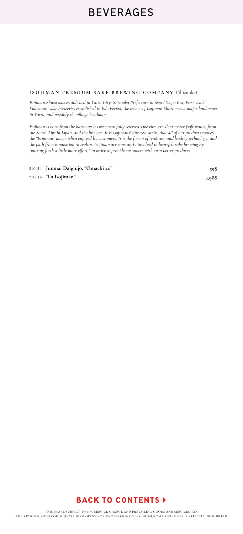**ISOJIMAN PREMIUM SAKE BREWING COMPANY** (Shizuoka)

*Isojiman Shuzo was established in Yaizu City, Shizuoka Prefecture in 1830 (Tenpo Era, First year). Like many sake breweries established in Edo Period, the owner of Isojiman Shuzo was a major landowner in Yaizu, and possibly the village headman.*

*Isojiman is born from the harmony between carefully selected sake rice, excellent water (soft water) from the South Alps in Japan, and the brewers. It is Isojimans' sincerest desire that all of our products convey the "Isojiman" image when enjoyed by customers. It is the fusion of tradition and leading technology, and the path from innovation to reality. Isojiman are constantly involved in heartfelt sake brewing by "putting forth a little more effort," in order to provide customers with even better products.* 

210014 **Junmai Daiginjo, "Omachi 40"** 210016 **"La Isojiman"** 

**598**



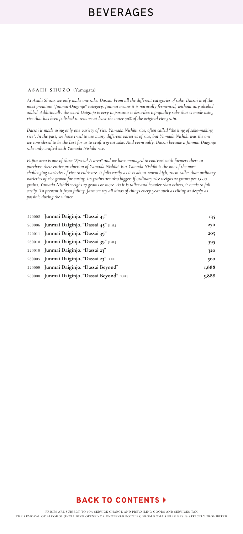#### **ASAHI SHUZO** (Yamagata)

*At Asahi Shuzo, we only make one sake: Dassai. From all the different categories of sake, Dassai is of the most premium "Junmai-Daiginjo" category. Junmai means it is naturally fermented, without any alcohol added. Additionally the word Daiginjo is very important: it describes top-quality sake that is made using rice that has been polished to remove at least the outer 50% of the original rice grain.* 

*Dassai is made using only one variety of rice: Yamada Nishiki rice, often called "the king of sake-making rice". In the past, we have tried to use many different varieties of rice, but Yamada Nishiki was the one we considered to be the best for us to craft a great sake. And eventually, Dassai became a Junmai Daiginjo sake only crafted with Yamada Nishiki rice.*

*Fujita area is one of these "Special A area" and we have managed to contract with farmers there to purchase their entire production of Yamada Nishiki. But Yamada Nishiki is the one of the most challenging varieties of rice to cultivate. It falls easily as it is about 120cm high, 20cm taller than ordinary varieties of rice grown for eating. Its grains are also bigger: if ordinary rice weighs 22 grams per 1,000 grains, Yamada Nishiki weighs 27 grams or more. As it is taller and heavier than others, it tends to fall easily. To prevent it from falling, farmers try all kinds of things every year such as tilling as deeply as possible during the winter.* 

| 220002 Junmai Daiginjo, "Dassai 45"            | 135   |
|------------------------------------------------|-------|
| 260006 Junmai Daiginjo, "Dassai 45" [1.8L]     | 270   |
| 220011 Junmai Daiginjo, "Dassai 39"            | 205   |
| 260010 Junmai Daiginjo, "Dassai 39" [1.8L]     | 395   |
| 220010 Junmai Daiginjo, "Dassai 23"            | 320   |
| 260005 Junmai Daiginjo, "Dassai 23" [1.8L]     | 500   |
| 220009 Junmai Daiginjo, "Dassai Beyond"        | 1,888 |
| 260008 Junmai Daiginjo, "Dassai Beyond" [2.8L] | 5,888 |

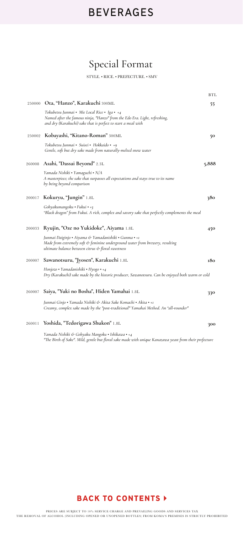# Special Format

STYLE. • RICE. • PREFECTURE. • SMV

|        |                                                                                                                                                                                                   | BTL   |
|--------|---------------------------------------------------------------------------------------------------------------------------------------------------------------------------------------------------|-------|
| 250000 | Ota, "Hanzo", Karakuchi 300ML                                                                                                                                                                     | 55.   |
|        | Tokubetsu Junmai • Mie Local Rice • Iga • +4<br>Named after the famous ninja, "Hanzo" from the Edo Era. Light, refreshing,<br>and dry (Karakuchi) sake that is perfect to start a meal with       |       |
| 250002 | Kobayashi, "Kitano-Roman" 300ML                                                                                                                                                                   | 50    |
|        | Tokubetsu Junmai • Suisei • Hokkaido • +9<br>Gentle, soft but dry sake made from naturally-melted snow water                                                                                      |       |
| 260008 | Asahi, "Dassai Beyond" 2.3L                                                                                                                                                                       | 5,888 |
|        | Yamada Nishiki • Yamaguchi • N/A<br>A masterpiece; the sake that surpasses all expectations and stays true to its name<br>by being beyond comparison                                              |       |
| 200017 | Kokuryu, "Jungin" 1.8L                                                                                                                                                                            | 380   |
|        | Gohyakumangoku • Fukui • $+$ 3<br>"Black dragon" from Fukui. A rich, complex and savory sake that perfectly complements the meal                                                                  |       |
| 200033 | Ryujin, "Oze no Yukidoke", Aiyama 1.8L                                                                                                                                                            | 450   |
|        | Junmai Daiginjo • Aiyama & Yamadanishiki • Gunma • +1<br>Made from extremely soft $\phi$ feminine underground water from brewery, resulting<br>ultimate balance between citrus & floral sweetness |       |
| 200007 | Sawanotsuru, "Jyosen", Karakuchi 1.8L                                                                                                                                                             | 180   |
|        | Honjozo • Yamadanishiki • Hyogo • $+4$<br>Dry (Karakuchi) sake made by the historic producer, Sawanotsuru. Can be enjoyed both warm or cold                                                       |       |
| 260007 | Saiya, "Yuki no Bosha", Hiden Yamahai 1.8L                                                                                                                                                        | 330   |
|        | Junmai Ginjo • Yamada Nishiki & Akita Sake Komachi • Akita • +1<br>Creamy, complex sake made by the "post-traditional" Yamahai Method. An "all-rounder"                                           |       |
| 260011 | Yoshida, "Tedorigawa Shukon" 1.8L                                                                                                                                                                 | 300   |
|        |                                                                                                                                                                                                   |       |

*Yamada Nishiki & Gohyaku Mangoku* • *Ishikawa* • *+4 "The Birth of Sake". Mild, gentle but floral sake made with unique Kanazawa yeast from their prefecture*

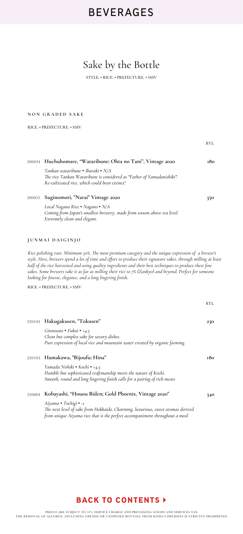# Sake by the Bottle

STYLE. • RICE. • PREFECTURE. • SMV

#### **NON GRADED SAKE**

RICE. • PREFECTURE. • SMV

|        |                                                                                                                                                                                                                                                                                                                                                                                                                                                                                                             | BTL        |
|--------|-------------------------------------------------------------------------------------------------------------------------------------------------------------------------------------------------------------------------------------------------------------------------------------------------------------------------------------------------------------------------------------------------------------------------------------------------------------------------------------------------------------|------------|
| 200034 | Huchuhomare, "Wataribune: Ohta no Tani", Vintage 2020                                                                                                                                                                                                                                                                                                                                                                                                                                                       | 180        |
|        | Tankan wataribune • Ibaraki • N/A<br>The rice Tankan Wataribune is considered as "Father of Yamadanishiki".<br>Re-cultivated rice, which could been extinct!                                                                                                                                                                                                                                                                                                                                                |            |
| 200035 | Suginomori, "Narai" Vintage 2020                                                                                                                                                                                                                                                                                                                                                                                                                                                                            | 350        |
|        | Local Nagano Rice . Nagano . N/A<br>Coming from Japan's smallest brewery, made from 1000m above sea level.<br>Extremely clean and elegant.                                                                                                                                                                                                                                                                                                                                                                  |            |
|        | JUNMAI DAIGINJO                                                                                                                                                                                                                                                                                                                                                                                                                                                                                             |            |
|        | Rice polishing rate: Minimum 50%. The most premium category and the unique expression of a brewer's<br>style. Here, brewers spend a lot of time and effort to produce their signature sakes, through milling at least<br>half of the rice harvested and using quality ingredients and their best techniques to produce these fine<br>sakes. Some brewers take it as far as milling their rice to 7% (Zankyo) and beyond. Perfect for someone<br>looking for finesse, elegance, and a long lingering finish. |            |
|        | RICE. • PREFECTURE. • SMV                                                                                                                                                                                                                                                                                                                                                                                                                                                                                   |            |
|        |                                                                                                                                                                                                                                                                                                                                                                                                                                                                                                             | <b>BTL</b> |
|        | 220102 Hakugakusen, "Tokusen"                                                                                                                                                                                                                                                                                                                                                                                                                                                                               | 230        |
|        | Ginnosato • Fukui • +4.5<br>Clean but complex sake for savory dishes.<br>Pure expression of local rice and mountain water created by organic farming.                                                                                                                                                                                                                                                                                                                                                       |            |
| 220103 | Hamakawa, "Bijoufu: Hina"                                                                                                                                                                                                                                                                                                                                                                                                                                                                                   | 180        |
|        | Yamada Nishiki • Kochi • +4.5<br>Humble but sophisticated craftmanship meets the nature of Kochi.<br>Smooth, round and long lingering finish calls for a pairing of rich meats                                                                                                                                                                                                                                                                                                                              |            |
| 220004 | Kobayashi, "Houou Biden; Gold Phoenix, Vintage 2020"                                                                                                                                                                                                                                                                                                                                                                                                                                                        | 340        |
|        | Aiyama • Tochigi • -1<br>The next level of sake from Hokkaido. Charming, luxurious, sweet aromas derived<br>from unique Aiyama rice that is the perfect accompaniment throughout a meal                                                                                                                                                                                                                                                                                                                     |            |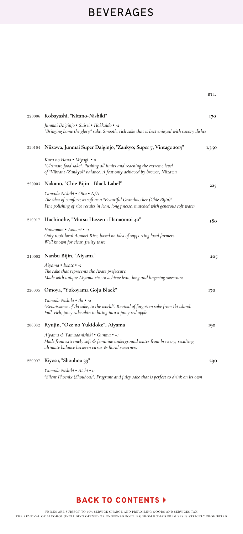|        | 220006 Kobayashi, "Kitano-Nishiki"                                                                                                                                                               | 170   |
|--------|--------------------------------------------------------------------------------------------------------------------------------------------------------------------------------------------------|-------|
|        | Junmai Daiginjo • Suisei • Hokkaido • -2<br>"Bringing home the glory" sake. Smooth, rich sake that is best enjoyed with savory dishes                                                            |       |
| 220104 | Niizawa, Junmai Super Daiginjo, "Zankyo; Super 7, Vintage 2019"                                                                                                                                  | 1,350 |
|        | Kura no Hana • Miyagi • o<br>"Ultimate food sake". Pushing all limits and reaching the extreme level<br>of "Vibrant (Zankyo)" balance. A feat only achieved by brewer, Niizawa                   |       |
| 220003 | Nakano, "Chie Bijin - Black Label"                                                                                                                                                               | 225   |
|        | Yamada Nishiki • Oita • N/A<br>The idea of comfort; as soft as a "Beautiful Grandmother (Chie Bijin)".<br>Fine polishing of rice results in lean, long finesse, matched with generous soft water |       |
| 210017 | Hachinohe, "Mutsu Hassen : Hanaomoi 40"                                                                                                                                                          | 180   |
|        | Hanaomoi • Aomori • -1<br>Only 100% local Aomori Rice, based on idea of supporting local farmers.<br>Well known for clear, fruity taste                                                          |       |
|        | 210002 Nanbu Bijin, "Aiyama"                                                                                                                                                                     | 205   |
|        | Aiyama • Iwate • -2<br>The sake that represents the Iwate prefecture.<br>Made with unique Aiyama rice to achieve lean, long and lingering sweetness                                              |       |
| 220005 | Omoya, "Yokoyama Goju Black"                                                                                                                                                                     | 170   |
|        | Yamada Nishiki • Iki • -2<br>"Renaissance of Iki sake, to the world". Revival of forgotten sake from Iki island.<br>Full, rich, juicy sake akin to biting into a juicy red apple                 |       |
| 200032 | Ryujin, "Oze no Yukidoke", Aiyama                                                                                                                                                                | 190   |
|        | Aiyama & Yamadanishiki • Gunma • +1<br>Made from extremely soft & feminine underground water from brewery, resulting<br>ultimate balance between citrus & floral sweetness                       |       |
| 220007 | Kiyosu, "Shouhou 39"                                                                                                                                                                             | 290   |
|        | Yamada Nishiki • Aichi • o<br>"Silent Phoenix (Shouhou)". Fragrant and juicy sake that is perfect to drink on its own                                                                            |       |



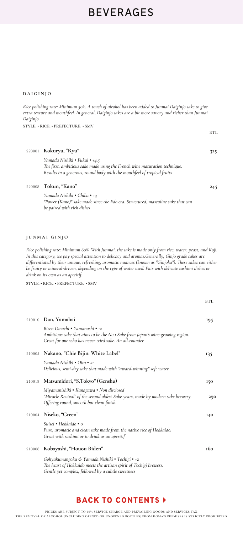#### **DAIGINJO**

*Rice polishing rate: Minimum 50%. A touch of alcohol has been added to Junmai Daiginjo sake to give extra texture and mouthfeel. In general, Daiginjo sakes are a bit more savory and richer than Junmai Daiginjo.* 

**BTL** 

STYLE. • RICE. • PREFECTURE. • SMV

| 220001 | Kokuryu, "Ryu"                                                                                                                                                                         | 325 |
|--------|----------------------------------------------------------------------------------------------------------------------------------------------------------------------------------------|-----|
|        | Yamada Nishiki • Fukui • +4.5<br>The first, ambitious sake made using the French wine maturation technique.<br>Results in a generous, round body with the mouthfeel of tropical fruits |     |
| 220008 | Tokun, "Kano"                                                                                                                                                                          | 245 |
|        | Yamada Nishiki • Chiba • +3<br>"Power (Kano)" sake made since the Edo era. Structured, masculine sake that can<br>be paired with rich dishes                                           |     |
|        |                                                                                                                                                                                        |     |
|        |                                                                                                                                                                                        |     |
|        | JUNMAI GINJO                                                                                                                                                                           |     |

*Rice polishing rate: Minimum 60%. With Junmai, the sake is made only from rice, water, yeast, and Koji. In this category, we pay special attention to delicacy and aromas.Generally, Ginjo grade sakes are differentiated by their unique, refreshing, aromatic nuances (known as "Ginjoka"). These sakes can either be fruity or mineral-driven, depending on the type of water used. Pair with delicate sashimi dishes or drink on its own as an aperitif.* 

STYLE. • RICE. • PREFECTURE. • SMV

|        |                                                                                                                                                                            | <b>BTL</b> |
|--------|----------------------------------------------------------------------------------------------------------------------------------------------------------------------------|------------|
|        | 210010 Dan, Yamahai                                                                                                                                                        | 195        |
|        | Bizen Omachi • Yamanashi • -2<br>Ambitious sake that aims to be the No.1 Sake from Japan's wine-growing region.<br>Great for one who has never tried sake. An all-rounder  |            |
| 210005 | Nakano, "Chie Bijin: White Label"                                                                                                                                          | 135        |
|        | Yamada Nishiki • Oita • +1<br>Delicious, semi-dry sake that made with "award-winning" soft water                                                                           |            |
| 210018 | Matsumidori, "S.Tokyo" (Genshu)                                                                                                                                            | 150        |
|        | Miyamanishiki • Kanagawa • Non disclosed<br>"Miracle Revival" of the second oldest Sake years, made by modern sake brewery.<br>Offering round, smooth but clean finish.    | 290        |
|        | 210004 Niseko, "Green"                                                                                                                                                     | <b>140</b> |
|        | Suisei • Hokkaido • o<br>Pure, aromatic and clean sake made from the native rice of Hokkaido.<br>Great with sashimi or to drink as an aperitif                             |            |
| 210006 | Kobayashi, "Houou Biden"                                                                                                                                                   | 160        |
|        | Gohyakumangoku & Yamada Nishiki • Tochigi • +2<br>The heart of Hokkaido meets the artisan spirit of Tochigi brewers.<br>Gentle yet complex, followed by a subtle sweetness |            |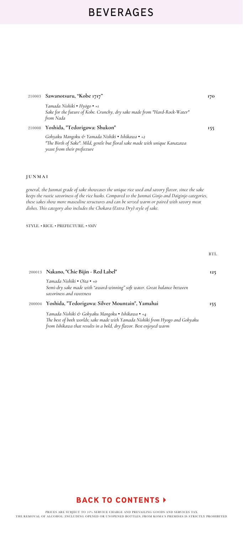**170**

**Sawanotsuru, "Kobe 1717"**  210003

|        | Yamada Nishiki • Hyōgo • +1<br>Sake for the future of Kobe. Crunchy, dry sake made from "Hard-Rock-Water"<br>from Nada                                                                                                                                                                                                                                                                   |            |
|--------|------------------------------------------------------------------------------------------------------------------------------------------------------------------------------------------------------------------------------------------------------------------------------------------------------------------------------------------------------------------------------------------|------------|
| 210008 | Yoshida, "Tedorigawa: Shukon"                                                                                                                                                                                                                                                                                                                                                            | 155        |
|        | Gohyaku Mangoku & Yamada Nishiki • Ishikawa • +2<br>"The Birth of Sake". Mild, gentle but floral sake made with unique Kanazawa<br>yeast from their prefecture                                                                                                                                                                                                                           |            |
|        |                                                                                                                                                                                                                                                                                                                                                                                          |            |
| JUNMAI |                                                                                                                                                                                                                                                                                                                                                                                          |            |
|        | general, the Junmai grade of sake showcases the unique rice used and savory flavor, since the sake<br>keeps the rustic savoriness of the rice husks. Compared to the Junmai Ginjo and Daiginjo categories,<br>these sakes show more masculine structures and can be served warm or paired with savory meat<br>dishes. This category also includes the Chokara (Extra Dry) style of sake. |            |
|        | STYLE. • RICE. • PREFECTURE. • SMV                                                                                                                                                                                                                                                                                                                                                       |            |
|        |                                                                                                                                                                                                                                                                                                                                                                                          | <b>BTL</b> |
| 200013 | Nakano, "Chie Bijin - Red Label"                                                                                                                                                                                                                                                                                                                                                         | 125        |
|        | Yamada Nishiki • Oita • +0<br>Semi-dry sake made with "award-winning" soft water. Great balance between<br>savoriness and sweetness                                                                                                                                                                                                                                                      |            |
|        | 200004 Yoshida, "Tedorigawa: Silver Mountain", Yamahai                                                                                                                                                                                                                                                                                                                                   | 155        |

*Yamada Nishiki & Gohyaku Mangoku* • *Ishikawa* • *+4 The best of both worlds; sake made with Yamada Nishiki from Hyogo and Gohyaku from Ishikawa that results in a bold, dry flavor. Best enjoyed warm*

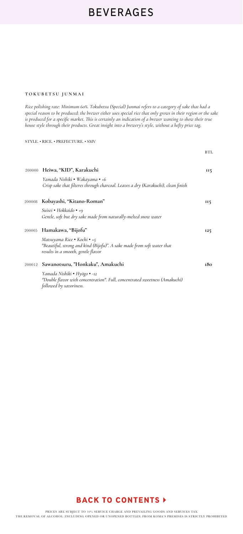#### **T OKUBETS U JUNMA I**

*Rice polishing rate: Minimum 60%. Tokubetsu (Special) Junmai refers to a category of sake that had a special reason to be produced: the brewer either uses special rice that only grows in their region or the sake is produced for a specific market. This is certainly an indication of a brewer wanting to show their true house style through their products. Great insight into a brewery's style, without a hefty price tag.*

BTL

STYLE. • RICE. • PREFECTURE. • SMV

|        | 200000 Heiwa, "KID", Karakuchi                                                                                                               | <b>II5</b> |
|--------|----------------------------------------------------------------------------------------------------------------------------------------------|------------|
|        | Yamada Nishiki • Wakaγama • +6<br>Crisp sake that filteres through charcoal. Leaves a dry (Karakuchi), clean finish                          |            |
|        | 200008 Kobayashi, "Kitano-Roman"                                                                                                             | II5        |
|        | Suisei • Hokkaido • +9<br>Gentle, soft but dry sake made from naturally-melted snow water                                                    |            |
| 200005 | Hamakawa, "Bijofu"                                                                                                                           | 125        |
|        | Matsuyama Rice • Kochi • +5<br>"Beautiful, strong and kind (Bijofu)". A sake made from soft water that<br>results in a smooth, gentle flavor |            |
| 200012 | Sawanotsuru, "Honkaku", Amakuchi                                                                                                             | 180        |
|        | Yamada Nishiki • Hyōgo • -12<br>"Double flavor with concentration". Full, concentrated sweetness (Amakuchi)<br>followed by savoriness.       |            |

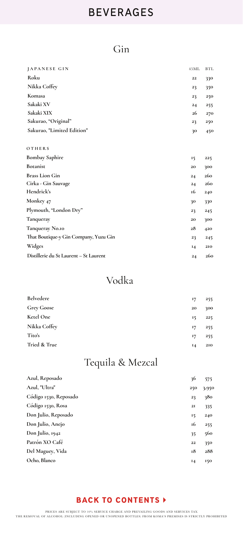## Gin

| JAPANESE GIN                           | 45ML      | <b>BTL</b> |
|----------------------------------------|-----------|------------|
| Roku                                   | $\bf{22}$ | 330        |
| Nikka Coffey                           | 23        | 350        |
| Komasa                                 | 23        | 250        |
| Sakaki XV                              | 24        | 255        |
| Sakaki XIX                             | 26        | 270        |
| Sakurao, "Original"                    | 23        | 250        |
| Sakurao, "Limited Edition"             | 30        | 450        |
| OTHERS                                 |           |            |
| <b>Bombay Saphire</b>                  | 15        | 225        |
| <b>Botanist</b>                        | 20        | 300        |
| <b>Brass Lion Gin</b>                  | 24        | 260        |
| Cirka - Gin Sauvage                    | 24        | 260        |
| Hendrick's                             | 16        | 240        |
| Monkey 47                              | 30        | 330        |
| Plymouth, "London Dry"                 | 23        | 245        |
| Tanqueray                              | 20        | 300        |
| Tanqueray No.10                        | 28        | 420        |
| That Boutique-y Gin Company, Yuzu Gin  | 23        | 245        |
| Widges                                 | 14        | 210        |
| Distillerie du St Laurent - St Laurent | 24        | 260        |

## Vodka

| <b>Belvedere</b>  | 17 | 255 |
|-------------------|----|-----|
| <b>Grey Goose</b> | 20 | 300 |
| Ketel One         | 15 | 225 |
| Nikka Coffey      | 17 | 255 |
| Tito's            | 17 | 255 |
| Tried & True      | 14 | 210 |

# Tequila & Mezcal

| Azul, Reposado        | 36  | 575   |
|-----------------------|-----|-------|
| Azul, "Ultra"         | 250 | 3,950 |
| Código 1530, Reposado | 23  | 380   |
| Código 1530, Rosa     | 2I  | 335   |
| Don Julio, Reposado   | 15  | 240   |
| Don Julio, Anejo      | 16  | 255   |
| Don Julio, 1942       | 35  | 560   |
| Patrón XO Café        | 22  | 350   |
| Del Maguey, Vida      | 18  | 288   |
| Ocho, Blanco          | 14  | 150   |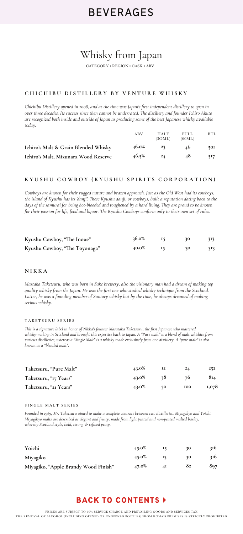# Whisky from Japan

CATEGORY • REGION • CASK • ABV

### **CHICHIBU DISTILLERY BY VENTURE WHISKY**

*Chichibu Distillery opened in 2008, and at the time was Japan's first independent distillery to open in over three decades. Its success since then cannot be underrated. The distillery and founder Ichiro Akuto are recognized both inside and outside of Japan as producing some of the best Japanese whisky available today.* 

|                                      | ABV      | <b>HALF</b><br>(3OML) | <b>FULL</b><br>(60ML) | BTL |
|--------------------------------------|----------|-----------------------|-----------------------|-----|
| Ichiro's Malt & Grain Blended Whisky | 46.0%    | 22                    | 46                    | 501 |
| Ichiro's Malt, Mizunara Wood Reserve | $46.5\%$ | $2\Delta$             | 48                    | 517 |

#### **KYUSHU COWBOY (KYUSHU SPIRITS CORPORATION)**

*Cowboys are known for their rugged nature and brazen approach. Just as the Old West had its cowboys, the island of Kyushu has its 'danji'. These Kyushu danji, or cowboys, built a reputation dating back to the days of the samurai for being hot-blooded and toughened by a hard living. They are proud to be known for their passion for life, food and liquor. The Kyushu Cowboys conform only to their own set of rules.* 

| Kyushu Cowboy, "The Inoue"    | 36.0% |  | 313 |
|-------------------------------|-------|--|-----|
| Kyushu Cowboy, "The Toyonaga" | 40.0% |  | 313 |

#### **NIKKA**

*Mastaka Taketsuru, who was born in Sake brewery, also the visionary man had a dream of making top quality whisky from the Japan. He was the first one who studied whisky technique from the Scotland. Latter, he was a founding member of Suntory whisky but by the time, he always dreamed of making serious whisky.* 

#### **TAKETSURU SERIES**

*This is a signature label in honor of Nikka's founter Masataka Taketsuru, the first Japanese who mastered whisky-making in Scotland and brought this expertise back to Japan. A "Pure malt" is a blend of malt whiskies from various distilleries, whereas a "Single Malt" is a whisky made exclusively from one distillery. A "pure malt" is also known as a "blended malt".* 

| Taketsuru, "Pure Malt" | 43.0% | 12  | 24         | 252   |
|------------------------|-------|-----|------------|-------|
| Taketsuru, "17 Years"  | 43.0% | -28 | 76         | 814   |
| Taketsuru, "21 Years"  | 43.0% | 50  | <b>100</b> | 1,078 |

#### **SINGLE MALT SERIES**

*Founded in 1969, Mr. Taketsuru aimed to make a complete contrast between two distilleries, Miyagikyo and Yoichi. Miyagikyo malts are described as elegant and fruity, made from light peated and non-peated malted barley, whereby Scotland style, bold, strong & refined peaty.* 

| Yoichi                               | 45.0% |    | 30 | 316 |
|--------------------------------------|-------|----|----|-----|
| Miyagiko                             | 45.0% |    | 30 | 316 |
| Miyagiko, "Apple Brandy Wood Finish" | 47.0% | ΔI | 82 | 897 |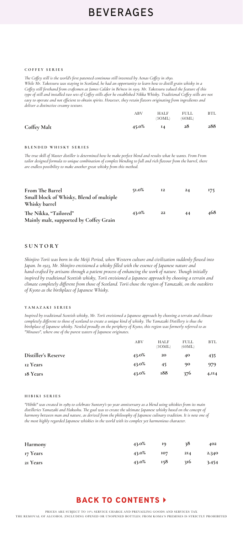#### **COFFEY SERIES**

*The Coffey still is the world's first patented continous still invented by Aenas Coffey in 1830. While Mr. Taketsuru was staying in Scotland, he had an opportunity to learn how to distill grain whisky in a Coffey still firsthand from craftsmen at James Calder in Bo'ness in 1919. Mr. Taketsuru valued the feature of this type of still and installed two sets of Coffey stills after he established Nikka Whisky. Traditional Coffey stills are not easy to operate and not efficient to obtain spirits. However, they retain flavors originating from ingredients and deliver a distinctive creamy texture.*

|             | ABV   | <b>HALF</b><br>(3OML) | <b>FULL</b><br>(60ML) | BTL |
|-------------|-------|-----------------------|-----------------------|-----|
| Coffey Malt | 45.0% | <b>I4</b>             | 28                    | 288 |

#### **BLENDED WHISKY SERIES**

*The true skill of Master distiller is determined how he make perfect blend and results what he wants. From From tailor designed formula to unique combination of complex blending to full and rich flavour from the barrel, there are endless possibility to make another great whisky from this method.*

| <b>From The Barrel</b><br>Small block of Whisky, Blend of multiple<br>Whisky barrel | $51.0\%$ | 12 | 24 | 175 |
|-------------------------------------------------------------------------------------|----------|----|----|-----|
| The Nikka, "Tailored"<br>Mainly malt, supported by Coffey Grain                     | 43.0%    | 22 | 44 | 468 |

### **SUNTORY**

*Shinjiro Torii was born in the Meiji Period, when Western culture and civilization suddenly flowed into Japan. In 1923, Mr. Shinjiro envisioned a whisky filled with the essence of Japanese nature and hand-crafted by artisans through a patient process of enhancing the work of nature. Though initially inspired by traditional Scottish whisky, Torii envisioned a Japanese approach by choosing a terrain and climate completely different from those of Scotland. Torii chose the region of Yamazaki, on the outskirts of Kyoto as the birthplace of Japanese Whisky.*

#### **YAMAZAKI SERIES**

*Inspired by traditional Scottish whisky, Mr. Torii envisioned a Japanese approach by choosing a terrain and climate completely different to those of scotland to create a unique kind of whisky. The Yamazaki Distillery is thus the completely different to those of scotland to create a unique kind of whisky. The Yamazaki Distillery is thus birthplace of Japanese whisky. Nestled proudly on the periphery of Kyoto, this region was formerly referred to as "Minaseo", where one of the purest waters of Japanese originates.*

|                            | ABV   | <b>HALF</b><br>(30ML) | <b>FULL</b><br>(60ML) | <b>BTL</b>  |
|----------------------------|-------|-----------------------|-----------------------|-------------|
| <b>Distiller's Reserve</b> | 43.0% | 20                    | 40                    | 435         |
| 12 Years                   | 43.0% | 45                    | 90                    | 979.        |
| 18 Years                   | 43.0% | 188                   | 376                   | $4,$ II $4$ |

#### **HIBIKI SERIES**

*"Hibiki" was created in 1989 to celebrate Suntory's 90 year anniversary as a blend using whiskies from its main distilleries Yamazaki and Hakushu. The goal was to create the ultimate Japanese whisky based on the concept of harmony between man and nature, as derived from the philosophy of Japanese culinary tradition. It is now one of the most highly regarded Japanese whiskies in the world with its complex yet harmonious character.*

| Harmony  | 43.0% | 19         | 38  | 402   |
|----------|-------|------------|-----|-------|
| 17 Years | 43.0% | <b>IO7</b> | 214 | 2,340 |
| 21 Years | 43.0% | 158        | 316 | 3,454 |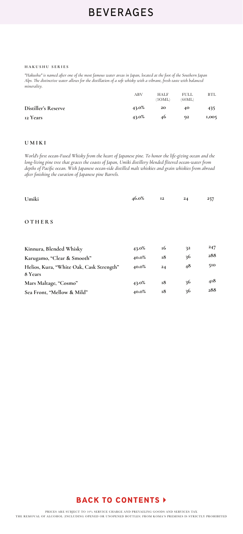#### **HAKUSHU SERIES**

*"Hakushu" is named after one of the most famous water areas in Japan, located at the foot of the Southern Japan Alps. The distinctive water allows for the distillation of a soft whisky with a vibrant, fresh taste with balanced minerality.*

|                            | ABV   | <b>HALF</b><br>(3OML) | <b>FULL</b><br>(60ML) | <b>BTL</b> |
|----------------------------|-------|-----------------------|-----------------------|------------|
| <b>Distiller's Reserve</b> | 43.0% | 20                    | 40                    | 435        |
| 12 Years                   | 43.0% | 46                    | 92                    | 1,005      |

#### **UMIKI**

*World's first ocean-Fused Whisky from the heart of Japanese pine. To honor the life-giving ocean and the long-living pine tree that graces the coasts of Japan, Umiki distillery blended flitered ocean-water from depths of Pacific ocean. With Japanese ocean-side distilled malt whiskies and grain whiskies from abroad after finishing the curation of Japanese pine Barrels.* 

| Umiki                                               | 46.0% | <b>I2</b> | 24 | 257 |
|-----------------------------------------------------|-------|-----------|----|-----|
| OTHERS                                              |       |           |    |     |
| Kinnura, Blended Whisky                             | 43.0% | 16        | 32 | 247 |
| Karugamo, "Clear & Smooth"                          | 40.0% | 18        | 36 | 288 |
| Helios, Kura, "White Oak, Cask Strength"<br>8 Years | 40.0% | 24        | 48 | 510 |
| Mars Maltage, "Cosmo"                               | 43.0% | 18        | 36 | 418 |
| Sea Front, "Mellow & Mild"                          | 40.0% | 18        | 36 | 288 |

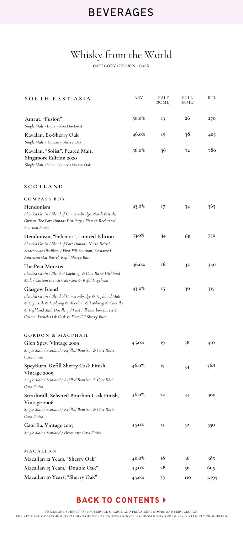## Whisky from the World

CATEGORY • REGION • CASK

| SOUTH EAST ASIA                                                                                                                                                                                                                                          | ABV      | HALF<br>(30ML) | FULL<br>(60ML) | <b>BTL</b> |
|----------------------------------------------------------------------------------------------------------------------------------------------------------------------------------------------------------------------------------------------------------|----------|----------------|----------------|------------|
| Amrut, "Fusion"<br>Single Malt . India . Non Disclosed                                                                                                                                                                                                   | 50.0%    | 13             | 26             | 270        |
| Kavalan, Ex-Sherry Oak<br>Single Malt . Taiwan . Sherry Oak                                                                                                                                                                                              | 46.0%    | 19             | 38             | 405        |
| Kavalan, "Solist", Peated Malt,<br><b>Singapore Edition 2020</b><br>Single Malt . Yilan County . Sherry Oak                                                                                                                                              | $56.0\%$ | 36             | 72             | 780        |
| SCOTLAND                                                                                                                                                                                                                                                 |          |                |                |            |
| COMPASS BOX                                                                                                                                                                                                                                              |          |                |                |            |
| Hendonism<br>Blended Grain / Blend of Cameronbridge, North British,<br>Girvan, The Port Dundas Distillery / First & Recharred<br>Bourbon Barrel                                                                                                          | 43.0%    | 17             | 34             | 365        |
| Hendonism, "Felicitas", Limited Edition<br>Blended Grain / Blend of Port Dundas, North British,<br>Strathclyde Distillery / First Fill Bourbon, Recharred<br>American Oat Barrel, Refill Sherry Butt                                                     | 53.0%    | 34             | 68             | 730        |
| The Peat Monster<br>Blended Grain / Blend of Laphroig & Caol Ila & Highland<br>Malt / Custom French Oak Cask & Refill Hogshead                                                                                                                           | 46.0%    | 16             | 32             | 340        |
| <b>Glasgow Blend</b><br>Blended Grain / Blend of Cameronbridge & Highland Malt<br>& Clynelish & Laphroig & Aberlour & Laphroig & Caol Ila<br>& Highland Malt Distillery / First Fill Bourbon Barrel &<br>Custom French Oak Cask & First Fill Sherry Butt | 43.0%    | 15             | 30             | 315        |
| GORDON & MACPHAIL                                                                                                                                                                                                                                        |          |                |                |            |
| Glen Spey, Vintage 2009<br>Single Malt / Scotland / Refilled Bourbon & Côte Rôtie<br>Cask Finish                                                                                                                                                         | 45.0%    | 19             | 38             | 410        |
| SpeyBurn, Refill Sherry Cask Finish<br>Vintage 2009<br>Single Malt / Scotland / Refilled Bourbon & Côte Rôtie<br>Cask Finish                                                                                                                             | 46.0%    | 17             | 34             | 368        |
| Strathmill, Selected Bourbon Cask Finish,<br><b>Vintage 2006</b><br>Single Malt / Scotland / Refilled Bourbon & Côte Rôtie<br>Cask Finish                                                                                                                | 46.0%    | 22             | 44             | 460        |
| Caol Ila, Vintage 2007<br>Single Malt / Scotland / Hermitage Cask Finish                                                                                                                                                                                 | 45.0%    | 15             | 52             | 550        |
| MACALLAN                                                                                                                                                                                                                                                 |          |                |                |            |
| Macallan 12 Years, "Sherry Oak"                                                                                                                                                                                                                          | 40.0%    | 18             | 36             | 385        |
| <b>Macallan 15 Years, "Double Oak"</b>                                                                                                                                                                                                                   | 43.0%    | 28             | 56             | 605        |
| Macallan 18 Years, "Sherry Oak"                                                                                                                                                                                                                          | 43.0%    | 55             | 110            | 1,199      |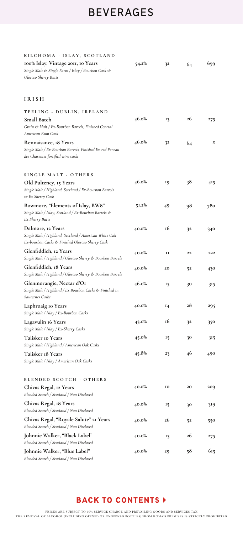| KILCHOMA - ISLAY, SCOTLAND                                                                                                    |          |              |    |     |
|-------------------------------------------------------------------------------------------------------------------------------|----------|--------------|----|-----|
| 100% Islay, Vintage 2011, 10 Years<br>Single Malt & Single Farm / Islay / Bourbon Cask &<br>Oloroso Sherry Butts              | 54.2%    | 32           | 64 | 699 |
| <b>IRISH</b>                                                                                                                  |          |              |    |     |
| TEELING - DUBLIN, IRELAND<br><b>Small Batch</b><br>Grain & Malt / Ex-Bourbon Barrels, Finished Central<br>American Rum Cask   | 46.0%    | 13           | 26 | 275 |
| Rennaisance, 18 Years<br>Single Malt / Ex-Bourbon Barrels, Finished Ex-red Peneau<br>des Charentes fortified wine casks       | 46.0%    | 32           | 64 | x   |
| SINGLE MALT - OTHERS<br>Old Pulteney, 15 Years<br>Single Malt / Highland, Scotland / Ex-Bourbon Barrels<br>& Ex Sherry Cask   | 46.0%    | 19           | 38 | 415 |
| Bowmore, "Elements of Islay, BW8"<br>Single Malt / Islay, Scotland / Ex-Bourbon Barrels &<br>Ex Sherry Butts                  | $51.2\%$ | 49           | 98 | 780 |
| Dalmore, 12 Years<br>Single Malt / Highland, Scotland / American White Oak<br>Ex-bourbon Casks & Finished Oloroso Sherry Cask | 40.0%    | 16           | 32 | 340 |
| Glenfiddich, 12 Years<br>Single Malt / Highland / Oloroso Sherry & Bourbon Barrels                                            | 40.0%    | $\mathbf{I}$ | 22 | 222 |
| Glenfiddich, 18 Years<br>Single Malt / Highland / Oloroso Sherry & Bourbon Barrels                                            | 40.0%    | 20           | 52 | 430 |
| Glenmorangie, Nectar d'Or<br>Single Malt / Highland / Ex Bourbon Casks & Finished in<br>Sauternes Casks                       | 46.0%    | 15           | 30 | 315 |
| Laphroaig Io Years<br>Single Malt / Islay / Ex-Bourbon Casks                                                                  | 40.0%    | 14           | 28 | 295 |
| Lagavulin 16 Years<br>Single Malt / Islay / Ex-Sherry Casks                                                                   | 43.0%    | 16           | 32 | 350 |
| <b>Talisker 10 Years</b><br>Single Malt / Highland / American Oak Casks                                                       | 45.0%    | 15           | 30 | 315 |
| Talisker 18 Years<br>Single Malt / Islay / American Oak Casks                                                                 | 45.8%    | 23           | 46 | 490 |
| BLENDED SCOTCH - OTHERS                                                                                                       |          |              |    |     |
| Chivas Regal, 12 Years<br>Blended Scotch / Scotland / Non Disclosed                                                           | 40.0%    | 10           | 20 | 209 |
| Chivas Regal, 18 Years<br>Blended Scotch / Scotland / Non Disclosed                                                           | 40.0%    | 15           | 30 | 319 |
| Chivas Regal, "Royale Salute" 21 Years<br>Blended Scotch / Scotland / Non Disclosed                                           | 40.0%    | 26           | 52 | 550 |
| Johnnie Walker, "Black Label"<br>Blended Scotch / Scotland / Non Disclosed                                                    | 40.0%    | 13           | 26 | 275 |
| Johnnie Walker, "Blue Label"<br>Blended Scotch / Scotland / Non Disclosed                                                     | 40.0%    | 29           | 58 | 615 |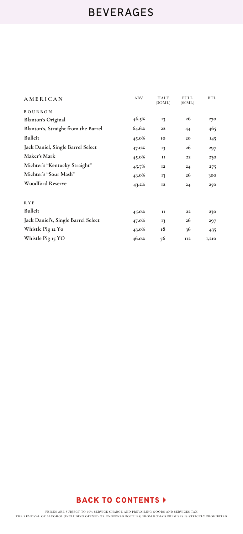| AMERICAN                            | ABV   | HALF<br>(30ML) | FULL<br>(60ML) | BTL.  |
|-------------------------------------|-------|----------------|----------------|-------|
| <b>BOURBON</b>                      |       |                |                |       |
| <b>Blanton's Original</b>           | 46.5% | 13             | 26             | 270   |
| Blanton's, Straight from the Barrel | 64.6% | 22             | 44             | 465   |
| Bulleit                             | 45.0% | 10             | 20             | 145   |
| Jack Daniel, Single Barrel Select   | 47.0% | 13             | 26             | 297   |
| Maker's Mark                        | 45.0% | $\mathbf{I}$   | 22             | 230   |
| Michter's "Kentucky Straight"       | 45.7% | <b>I2</b>      | 24             | 275   |
| Michter's "Sour Mash"               | 43.0% | 13             | 26             | 300   |
| Woodford Reserve                    | 43.2% | <b>I2</b>      | 24             | 250   |
| <b>RYE</b>                          |       |                |                |       |
| Bulleit                             | 45.0% | $\mathbf{I}$   | 22             | 230   |
| Jack Daniel's, Single Barrel Select | 47.0% | 13             | 26             | 297   |
| Whistle Pig 12 Yo                   | 43.0% | 18             | 36             | 435   |
| Whistle Pig 15 YO                   | 46.0% | 56             | <b>II2</b>     | 1,210 |
|                                     |       |                |                |       |